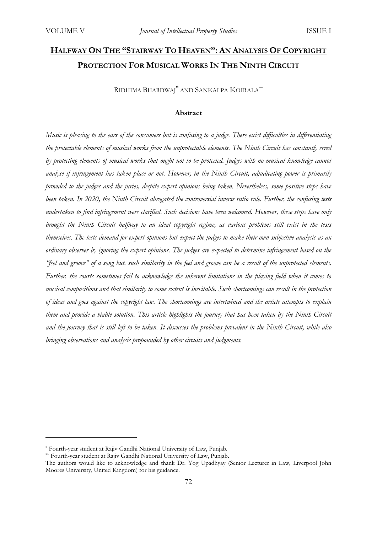# **HALFWAY ON THE "STAIRWAY TO HEAVEN": AN ANALYSIS OF COPYRIGHT PROTECTION FOR MUSICAL WORKS IN THE NINTH CIRCUIT**

RIDHIMA BHARDWAJ**\*** AND SANKALPA KOIRALA\*\*

#### **Abstract**

*Music is pleasing to the ears of the consumers but is confusing to a judge. There exist difficulties in differentiating the protectable elements of musical works from the unprotectable elements. The Ninth Circuit has constantly erred by protecting elements of musical works that ought not to be protected. Judges with no musical knowledge cannot analyse if infringement has taken place or not. However, in the Ninth Circuit, adjudicating power is primarily provided to the judges and the juries, despite expert opinions being taken. Nevertheless, some positive steps have been taken. In 2020, the Ninth Circuit abrogated the controversial inverse ratio rule. Further, the confusing tests undertaken to find infringement were clarified. Such decisions have been welcomed. However, these steps have only brought the Ninth Circuit halfway to an ideal copyright regime, as various problems still exist in the tests themselves. The tests demand for expert opinions but expect the judges to make their own subjective analysis as an ordinary observer by ignoring the expert opinions. The judges are expected to determine infringement based on the "feel and groove" of a song but, such similarity in the feel and groove can be a result of the unprotected elements. Further, the courts sometimes fail to acknowledge the inherent limitations in the playing field when it comes to musical compositions and that similarity to some extent is inevitable. Such shortcomings can result in the protection of ideas and goes against the copyright law. The shortcomings are intertwined and the article attempts to explain them and provide a viable solution. This article highlights the journey that has been taken by the Ninth Circuit and the journey that is still left to be taken. It discusses the problems prevalent in the Ninth Circuit, while also bringing observations and analysis propounded by other circuits and judgments.*

<sup>\*</sup> Fourth-year student at Rajiv Gandhi National University of Law, Punjab.

<sup>\*\*</sup> Fourth-year student at Rajiv Gandhi National University of Law, Punjab.

The authors would like to acknowledge and thank Dr. Yog Upadhyay (Senior Lecturer in Law, Liverpool John Moores University, United Kingdom) for his guidance.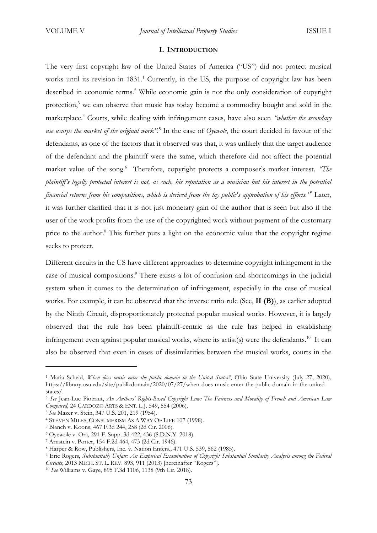#### **I. INTRODUCTION**

The very first copyright law of the United States of America ("US") did not protect musical works until its revision in 1831.<sup>1</sup> Currently, in the US, the purpose of copyright law has been described in economic terms.<sup>2</sup> While economic gain is not the only consideration of copyright protection,<sup>3</sup> we can observe that music has today become a commodity bought and sold in the marketplace.<sup>4</sup> Courts, while dealing with infringement cases, have also seen *"whether the secondary use usurps the market of the original work".*<sup>5</sup> In the case of *Oyewole*, the court decided in favour of the defendants, as one of the factors that it observed was that, it was unlikely that the target audience of the defendant and the plaintiff were the same, which therefore did not affect the potential market value of the song.<sup>6</sup> Therefore, copyright protects a composer's market interest. *'The plaintiff's legally protected interest is not, as such, his reputation as a musician but his interest in the potential financial returns from his compositions, which is derived from the lay public's approbation of his efforts."* <sup>7</sup> Later, it was further clarified that it is not just monetary gain of the author that is seen but also if the user of the work profits from the use of the copyrighted work without payment of the customary price to the author.<sup>8</sup> This further puts a light on the economic value that the copyright regime seeks to protect.

Different circuits in the US have different approaches to determine copyright infringement in the case of musical compositions.<sup>9</sup> There exists a lot of confusion and shortcomings in the judicial system when it comes to the determination of infringement, especially in the case of musical works. For example, it can be observed that the inverse ratio rule (See, **II (B)**), as earlier adopted by the Ninth Circuit, disproportionately protected popular musical works. However, it is largely observed that the rule has been plaintiff-centric as the rule has helped in establishing infringement even against popular musical works, where its artist(s) were the defendants.<sup>10</sup> It can also be observed that even in cases of dissimilarities between the musical works, courts in the

<sup>&</sup>lt;sup>1</sup> Maria Scheid, *When does music enter the public domain in the United States?*, Ohio State University (July 27, 2020), https://library.osu.edu/site/publicdomain/2020/07/27/when-does-music-enter-the-public-domain-in-the-unitedstates/.

<sup>2</sup> *See* Jean-Luc Piotraut, *An Authors' Rights-Based Copyright Law: The Fairness and Morality of French and American Law Compared,* 24 CARDOZO ARTS & ENT. L.J. 549, 554 (2006).

<sup>3</sup> *See* Mazer v. Stein, 347 U.S. 201, 219 (1954).

<sup>4</sup> STEVEN MILES, CONSUMERISM AS A WAY OF LIFE 107 (1998).

<sup>5</sup> Blanch v. Koons, 467 F.3d 244, 258 (2d Cir. 2006).

<sup>6</sup> Oyewole v. Ora, 291 F. Supp. 3d 422, 436 (S.D.N.Y. 2018).

<sup>7</sup> Arnstein v. Porter, 154 F.2d 464, 473 (2d Cir. 1946).

<sup>8</sup> Harper & Row, Publishers, Inc. v. Nation Enters., 471 U.S. 539, 562 (1985).

<sup>9</sup> Eric Rogers, *Substantially Unfair: An Empirical Examination of Copyright Substantial Similarity Analysis among the Federal Circuits,* 2013 MICH. ST. L. REV. 893, 911 (2013) [hereinafter "Rogers"].

<sup>10</sup> *See* Williams v. Gaye, 895 F.3d 1106, 1138 (9th Cir. 2018).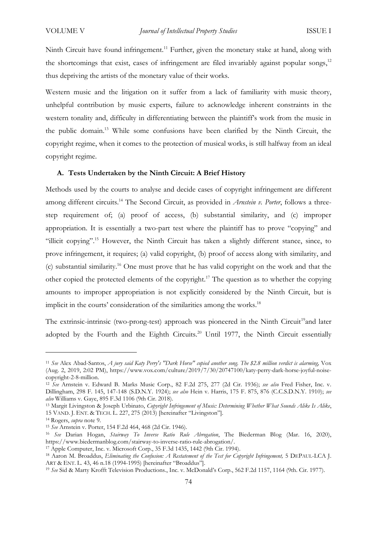Ninth Circuit have found infringement.<sup>11</sup> Further, given the monetary stake at hand, along with the shortcomings that exist, cases of infringement are filed invariably against popular songs, $12$ thus depriving the artists of the monetary value of their works.

Western music and the litigation on it suffer from a lack of familiarity with music theory, unhelpful contribution by music experts, failure to acknowledge inherent constraints in the western tonality and, difficulty in differentiating between the plaintiff's work from the music in the public domain.<sup>13</sup> While some confusions have been clarified by the Ninth Circuit, the copyright regime, when it comes to the protection of musical works, is still halfway from an ideal copyright regime.

## **A. Tests Undertaken by the Ninth Circuit: A Brief History**

Methods used by the courts to analyse and decide cases of copyright infringement are different among different circuits.<sup>14</sup> The Second Circuit, as provided in *Arnstein v. Porter*, follows a threestep requirement of; (a) proof of access, (b) substantial similarity, and (c) improper appropriation. It is essentially a two-part test where the plaintiff has to prove "copying" and "illicit copying".<sup>15</sup> However, the Ninth Circuit has taken a slightly different stance, since, to prove infringement, it requires; (a) valid copyright, (b) proof of access along with similarity, and (c) substantial similarity.<sup>16</sup> One must prove that he has valid copyright on the work and that the other copied the protected elements of the copyright.<sup>17</sup> The question as to whether the copying amounts to improper appropriation is not explicitly considered by the Ninth Circuit, but is implicit in the courts' consideration of the similarities among the works.<sup>18</sup>

The extrinsic-intrinsic (two-prong-test) approach was pioneered in the Ninth Circuit<sup>19</sup>and later adopted by the Fourth and the Eighth Circuits.<sup>20</sup> Until 1977, the Ninth Circuit essentially

<sup>11</sup> *See* Alex Abad-Santos, *A jury said Katy Perry's "Dark Horse" copied another song. The \$2.8 million verdict is alarming,* Vox (Aug. 2, 2019, 2:02 PM), https://www.vox.com/culture/2019/7/30/20747100/katy-perry-dark-horse-joyful-noisecopyright-2-8-million.

<sup>12</sup> *See* Arnstein v. Edward B. Marks Music Corp., 82 F.2d 275, 277 (2d Cir. 1936); *see also* Fred Fisher, Inc. v. Dillingham, 298 F. 145, 147-148 (S.D.N.Y. 1924); *see also* Hein v. Harris, 175 F. 875, 876 (C.C.S.D.N.Y. 1910); *see also* Williams v. Gaye, 895 F.3d 1106 (9th Cir. 2018).

<sup>13</sup> Margit Livingston & Joseph Urbinato, *Copyright Infringement of Music: Determining Whether What Sounds Alike Is Alike*, 15 VAND. J. ENT. & TECH. L. 227, 275 (2013) [hereinafter "Livingston"].

<sup>14</sup> Rogers, *supra* note 9.

<sup>15</sup> *See* Arnstein v. Porter, 154 F.2d 464, 468 (2d Cir. 1946).

<sup>16</sup> *See* Darian Hogan, *Stairway To Inverse Ratio Rule Abrogation*, The Biederman Blog (Mar. 16, 2020), https://www.biedermanblog.com/stairway-to-inverse-ratio-rule-abrogation/.

<sup>17</sup> Apple Computer, Inc. v. Microsoft Corp., 35 F.3d 1435, 1442 (9th Cir. 1994).

<sup>18</sup> Aaron M. Broaddus, *Eliminating the Confusion: A Restatement of the Test for Copyright Infringement,* 5 DEPAUL-LCA J. ART & ENT. L. 43, 46 n.18 (1994-1995) [hereinafter "Broaddus"].

<sup>19</sup> *See* Sid & Marty Krofft Television Productions., Inc. v. McDonald's Corp., 562 F.2d 1157, 1164 (9th. Cir. 1977).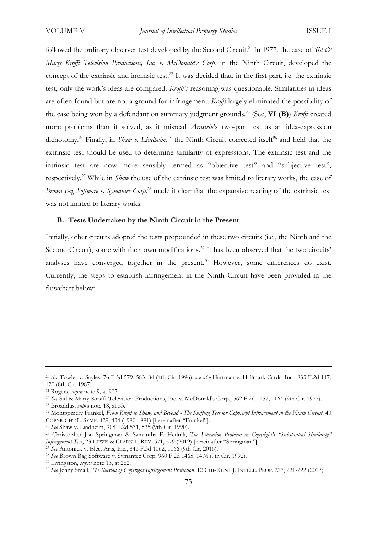followed the ordinary observer test developed by the Second Circuit.<sup>21</sup> In 1977, the case of *Sid & Marty Krofft Television Productions, Inc. v. McDonald's Corp*, in the Ninth Circuit, developed the concept of the extrinsic and intrinsic test.<sup>22</sup> It was decided that, in the first part, i.e. the extrinsic test, only the work's ideas are compared. *Krofft's* reasoning was questionable. Similarities in ideas are often found but are not a ground for infringement. *Krofft* largely eliminated the possibility of the case being won by a defendant on summary judgment grounds.<sup>23</sup> (See, **VI (B)**) *Krofft* created more problems than it solved, as it misread *Arnstein*'s two-part test as an idea-expression dichotomy.<sup>24</sup> Finally, in *Shaw v. Lindheim*,<sup>25</sup> the Ninth Circuit corrected itself<sup>26</sup> and held that the extrinsic test should be used to determine similarity of expressions. The extrinsic test and the intrinsic test are now more sensibly termed as "objective test" and "subjective test", respectively.<sup>27</sup> While in *Shaw* the use of the extrinsic test was limited to literary works, the case of *Brown Bag Software v. Symantec Corp*. <sup>28</sup> made it clear that the expansive reading of the extrinsic test was not limited to literary works.

# **B. Tests Undertaken by the Ninth Circuit in the Present**

Initially, other circuits adopted the tests propounded in these two circuits (i.e., the Ninth and the Second Circuit), some with their own modifications.<sup>29</sup> It has been observed that the two circuits' analyses have converged together in the present.<sup>30</sup> However, some differences do exist. Currently, the steps to establish infringement in the Ninth Circuit have been provided in the flowchart below:

<sup>25</sup> *See* Shaw v. Lindheim, 908 F.2d 531, 535 (9th Cir. 1990).

<sup>27</sup> *See* Antonick v. Elec. Arts, Inc., 841 F.3d 1062, 1066 (9th Cir. 2016).

<sup>29</sup> Livingston, *supra* note 13, at 262.

<sup>20</sup> *See* Towler v. Sayles, 76 F.3d 579, 583–84 (4th Cir. 1996); *see also* Hartman v. Hallmark Cards, Inc., 833 F.2d 117, 120 (8th Cir. 1987).

<sup>21</sup> Rogers, *supra* note 9, at 907.

<sup>22</sup> *See* Sid & Marty Krofft Television Productions, Inc. v. McDonald's Corp., 562 F.2d 1157, 1164 (9th Cir. 1977).

<sup>23</sup> Broaddus, *supra* note 18, at 53.

<sup>24</sup> Montgomery Frankel, *From Krofft to Shaw, and Beyond - The Shifting Test for Copyright Infringement in the Ninth Circuit*, 40 COPYRIGHT L. SYMP. 429, 434 (1990-1991) [hereinafter "Frankel"].

<sup>26</sup> Christopher Jon Springman & Samantha F. Hednik, *The Filtration Problem in Copyright's "Substantial Similarity" Infringement Test*, 23 LEWIS & CLARK L. REV. 571, 579 (2019) [hereinafter "Springman"].

<sup>28</sup> *See* Brown Bag Software v. Symantec Corp, 960 F.2d 1465, 1476 (9th Cir. 1992).

<sup>30</sup> *See* Jenny Small, *The Illusion of Copyright Infringement Protection*, 12 CHI-KENT J. INTELL. PROP. 217, 221-222 (2013).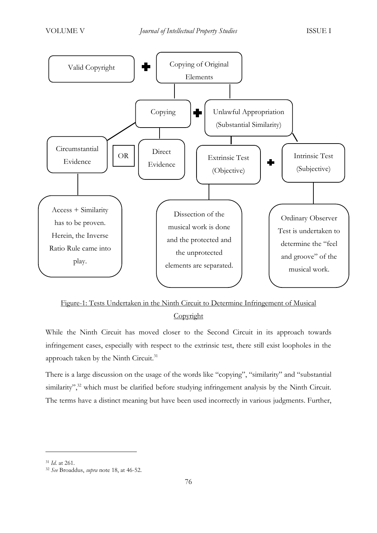

# Figure-1: Tests Undertaken in the Ninth Circuit to Determine Infringement of Musical **Copyright**

While the Ninth Circuit has moved closer to the Second Circuit in its approach towards infringement cases, especially with respect to the extrinsic test, there still exist loopholes in the approach taken by the Ninth Circuit.<sup>31</sup>

There is a large discussion on the usage of the words like "copying", "similarity" and "substantial similarity",<sup>32</sup> which must be clarified before studying infringement analysis by the Ninth Circuit. The terms have a distinct meaning but have been used incorrectly in various judgments. Further,

<sup>31</sup> *Id.* at 261.

<sup>32</sup> *See* Broaddus, *supra* note 18, at 46-52.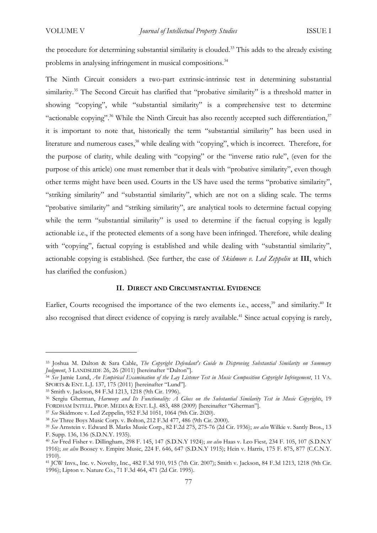the procedure for determining substantial similarity is clouded.<sup>33</sup> This adds to the already existing problems in analysing infringement in musical compositions.<sup>34</sup>

The Ninth Circuit considers a two-part extrinsic-intrinsic test in determining substantial similarity.<sup>35</sup> The Second Circuit has clarified that "probative similarity" is a threshold matter in showing "copying", while "substantial similarity" is a comprehensive test to determine "actionable copying".<sup>36</sup> While the Ninth Circuit has also recently accepted such differentiation, $37$ it is important to note that, historically the term "substantial similarity" has been used in literature and numerous cases,<sup>38</sup> while dealing with "copying", which is incorrect. Therefore, for the purpose of clarity, while dealing with "copying" or the "inverse ratio rule", (even for the purpose of this article) one must remember that it deals with "probative similarity", even though other terms might have been used. Courts in the US have used the terms "probative similarity", "striking similarity" and "substantial similarity", which are not on a sliding scale. The terms "probative similarity" and "striking similarity", are analytical tools to determine factual copying while the term "substantial similarity" is used to determine if the factual copying is legally actionable i.e., if the protected elements of a song have been infringed. Therefore, while dealing with "copying", factual copying is established and while dealing with "substantial similarity", actionable copying is established. (See further, the case of *Skidmore v. Led Zeppelin* at **III**, which has clarified the confusion.)

# **II. DIRECT AND CIRCUMSTANTIAL EVIDENCE**

Earlier, Courts recognised the importance of the two elements i.e., access,<sup>39</sup> and similarity.<sup>40</sup> It also recognised that direct evidence of copying is rarely available. <sup>41</sup> Since actual copying is rarely,

<sup>33</sup> Joshua M. Dalton & Sara Cable, *The Copyright Defendant's Guide to Disproving Substantial Similarity on Summary Judgment*, 3 LANDSLIDE 26, 26 (2011) [hereinafter "Dalton"].

<sup>34</sup> *See* Jamie Lund, *An Empirical Examination of the Lay Listener Test in Music Composition Copyright Infringement*, 11 VA. SPORTS & ENT. L.J. 137, 175 (2011) [hereinafter "Lund"].

<sup>35</sup> Smith v. Jackson, 84 F.3d 1213, 1218 (9th Cir. 1996).

<sup>36</sup> Sergiu Gherman, *Harmony and Its Functionality: A Gloss on the Substantial Similarity Test in Music Copyrights*, 19 FORDHAM INTELL. PROP. MEDIA & ENT. L.J. 483, 488 (2009) [hereinafter "Gherman"].

<sup>37</sup> *See* Skidmore v. Led Zeppelin, 952 F.3d 1051, 1064 (9th Cir. 2020).

<sup>38</sup> *See* Three Boys Music Corp. v. Bolton, 212 F.3d 477, 486 (9th Cir. 2000).

<sup>39</sup> *See* Arnstein v. Edward B. Marks Music Corp., 82 F.2d 275, 275-76 (2d Cir. 1936); *see also* Wilkie v. Santly Bros., 13 F. Supp. 136, 136 (S.D.N.Y. 1935).

<sup>40</sup> *See* Fred Fisher v. Dillingham*,* 298 F. 145, 147 (S.D.N.Y 1924); *see also* Haas v. Leo Fiest*,* 234 F. 105, 107 (S.D.N.Y 1916); *see also* Boosey v. Empire Music, 224 F. 646, 647 (S.D.N.Y 1915); Hein v. Harris, 175 F. 875, 877 (C.C.N.Y. 1910).

<sup>41</sup> JCW Invs., Inc. v. Novelty, Inc., 482 F.3d 910, 915 (7th Cir. 2007); Smith v. Jackson, 84 F.3d 1213, 1218 (9th Cir. 1996); Lipton v. Nature Co., 71 F.3d 464, 471 (2d Cir. 1995).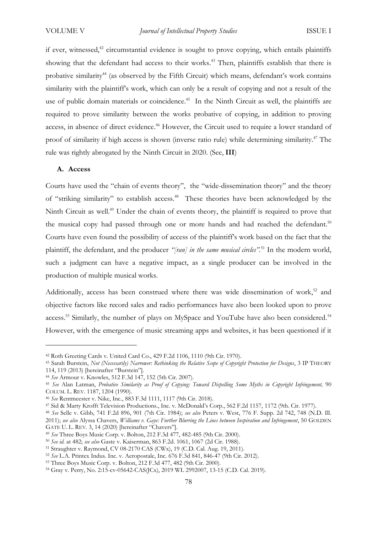if ever, witnessed, $42$  circumstantial evidence is sought to prove copying, which entails plaintiffs showing that the defendant had access to their works. <sup>43</sup> Then, plaintiffs establish that there is probative similarity<sup>44</sup> (as observed by the Fifth Circuit) which means, defendant's work contains similarity with the plaintiff's work, which can only be a result of copying and not a result of the use of public domain materials or coincidence.<sup>45</sup> In the Ninth Circuit as well, the plaintiffs are required to prove similarity between the works probative of copying, in addition to proving access, in absence of direct evidence.<sup>46</sup> However, the Circuit used to require a lower standard of proof of similarity if high access is shown (inverse ratio rule) while determining similarity.<sup>47</sup> The rule was rightly abrogated by the Ninth Circuit in 2020. (See, **III**)

#### **A. Access**

Courts have used the "chain of events theory", the "wide-dissemination theory" and the theory of "striking similarity" to establish access.<sup>48</sup> These theories have been acknowledged by the Ninth Circuit as well.<sup>49</sup> Under the chain of events theory, the plaintiff is required to prove that the musical copy had passed through one or more hands and had reached the defendant.<sup>50</sup> Courts have even found the possibility of access of the plaintiff's work based on the fact that the plaintiff, the defendant, and the producer "[ran] in the same musical circles".<sup>51</sup> In the modern world, such a judgment can have a negative impact, as a single producer can be involved in the production of multiple musical works.

Additionally, access has been construed where there was wide dissemination of work,<sup>52</sup> and objective factors like record sales and radio performances have also been looked upon to prove access.<sup>53</sup> Similarly, the number of plays on MySpace and YouTube have also been considered.<sup>54</sup> However, with the emergence of music streaming apps and websites, it has been questioned if it

<sup>42</sup> Roth Greeting Cards v. United Card Co., 429 F.2d 1106, 1110 (9th Cir. 1970).

<sup>43</sup> Sarah Burstein, *Not (Necessarily) Narrower: Rethinking the Relative Scope of Copyright Protection for Designs*, 3 IP THEORY 114, 119 (2013) [hereinafter "Burstein"].

<sup>44</sup> *See* Armour v. Knowles, 512 F.3d 147, 152 (5th Cir. 2007).

<sup>45</sup> *See* Alan Latman, *Probative Similarity as Proof of Copying: Toward Dispelling Some Myths in Copyright Infringement,* 90 COLUM. L. REV. 1187, 1204 (1990).

<sup>46</sup> *See* Rentmeester v. Nike, Inc*.*, 883 F.3d 1111, 1117 (9th Cir. 2018).

<sup>47</sup> Sid & Marty Krofft Television Productions., Inc. v. McDonald's Corp., 562 F.2d 1157, 1172 (9th. Cir. 1977).

<sup>48</sup> *See* Selle v. Gibb, 741 F.2d 896, 901 (7th Cir. 1984); *see also* Peters v. West, 776 F. Supp. 2d 742, 748 (N.D. Ill. 2011); *see also* Alyssa Chavers, *Williams v. Gaye: Further Blurring the Lines between Inspiration and Infringement*, 50 GOLDEN GATE U. L. REV. 3, 14 (2020) [hereinafter "Chavers"].

<sup>49</sup> *See* Three Boys Music Corp. v. Bolton, 212 F.3d 477, 482-485 (9th Cir. 2000).

<sup>50</sup> *See id.* at 482; *see also* Gaste v. Kaiserman, 863 F.2d. 1061, 1067 (2d Cir. 1988).

<sup>51</sup> Straughter v. Raymond, CV 08-2170 CAS (CWx), 19 (C.D. Cal. Aug. 19, 2011).

<sup>52</sup> *See* L.A. Printex Indus. Inc. v. Aeropostale, Inc. 676 F.3d 841, 846-47 (9th Cir. 2012).

<sup>53</sup> Three Boys Music Corp. v. Bolton, 212 F.3d 477, 482 (9th Cir. 2000).

<sup>54</sup> Gray v. Perry, No. 2:15-cv-05642-CAS(JCx), 2019 WL 2992007, 13-15 (C.D. Cal. 2019).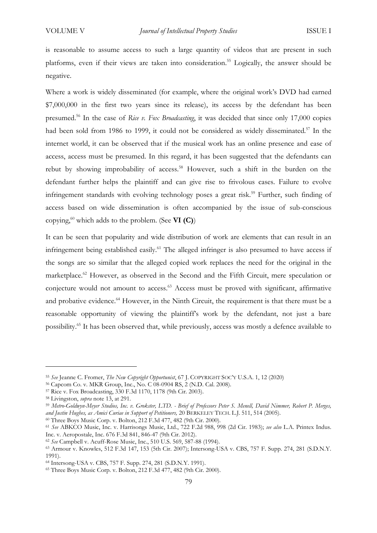is reasonable to assume access to such a large quantity of videos that are present in such platforms, even if their views are taken into consideration.<sup>55</sup> Logically, the answer should be negative.

Where a work is widely disseminated (for example, where the original work's DVD had earned \$7,000,000 in the first two years since its release), its access by the defendant has been presumed.<sup>56</sup> In the case of *Rice v. Fox Broadcasting*, it was decided that since only 17,000 copies had been sold from 1986 to 1999, it could not be considered as widely disseminated.<sup>57</sup> In the internet world, it can be observed that if the musical work has an online presence and ease of access, access must be presumed. In this regard, it has been suggested that the defendants can rebut by showing improbability of access.<sup>58</sup> However, such a shift in the burden on the defendant further helps the plaintiff and can give rise to frivolous cases. Failure to evolve infringement standards with evolving technology poses a great risk.<sup>59</sup> Further, such finding of access based on wide dissemination is often accompanied by the issue of sub-conscious copying,<sup>60</sup> which adds to the problem. (See **VI (C)**)

It can be seen that popularity and wide distribution of work are elements that can result in an infringement being established easily.<sup>61</sup> The alleged infringer is also presumed to have access if the songs are so similar that the alleged copied work replaces the need for the original in the marketplace.<sup>62</sup> However, as observed in the Second and the Fifth Circuit, mere speculation or conjecture would not amount to access.<sup>63</sup> Access must be proved with significant, affirmative and probative evidence.<sup>64</sup> However, in the Ninth Circuit, the requirement is that there must be a reasonable opportunity of viewing the plaintiff's work by the defendant, not just a bare possibility.<sup>65</sup> It has been observed that, while previously, access was mostly a defence available to

<sup>60</sup> Three Boys Music Corp. v. Bolton, 212 F.3d 477, 482 (9th Cir. 2000).

<sup>55</sup> *See* Jeanne C. Fromer, *The New Copyright Opportunist*, 67 J. COPYRIGHT SOC'Y U.S.A. 1, 12 (2020)

<sup>56</sup> Capcom Co. v. MKR Group, Inc., No. C 08-0904 RS, 2 (N.D. Cal. 2008).

<sup>57</sup> Rice v. Fox Broadcasting, 330 F.3d 1170, 1178 (9th Cir. 2003).

<sup>58</sup> Livingston, *supra* note 13, at 291.

<sup>59</sup> *Metro-Goldwyn-Meyer Studios, Inc. v. Grokster, LTD. - Brief of Professors Peter S. Menell, David Nimmer, Robert P. Merges, and Justin Hughes, as Amici Curiae in Support of Petitioners,* 20 BERKELEY TECH. L.J. 511, 514 (2005).

<sup>61</sup> *See* ABKCO Music, Inc. v. Harrisongs Music, Ltd., 722 F.2d 988, 998 (2d Cir. 1983); *see also* L.A. Printex Indus. Inc. v. Aeropostale, Inc. 676 F.3d 841, 846-47 (9th Cir. 2012).

<sup>62</sup> *See* Campbell v. Acuff-Rose Music, Inc., 510 U.S. 569, 587-88 (1994).

<sup>63</sup> Armour v. Knowles, 512 F.3d 147, 153 (5th Cir. 2007); Intersong-USA v. CBS, 757 F. Supp. 274, 281 (S.D.N.Y. 1991).

<sup>64</sup> Intersong-USA v. CBS, 757 F. Supp. 274, 281 (S.D.N.Y. 1991).

<sup>65</sup> Three Boys Music Corp. v. Bolton, 212 F.3d 477, 482 (9th Cir. 2000).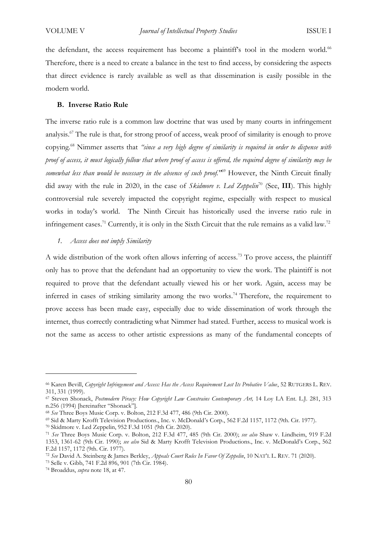the defendant, the access requirement has become a plaintiff's tool in the modern world.<sup>66</sup> Therefore, there is a need to create a balance in the test to find access, by considering the aspects that direct evidence is rarely available as well as that dissemination is easily possible in the modern world.

#### **B. Inverse Ratio Rule**

The inverse ratio rule is a common law doctrine that was used by many courts in infringement analysis.<sup>67</sup> The rule is that, for strong proof of access, weak proof of similarity is enough to prove copying.<sup>68</sup> Nimmer asserts that *"since a very high degree of similarity is required in order to dispense with proof of access, it must logically follow that where proof of access is offered, the required degree of similarity may be somewhat less than would be necessary in the absence of such proof."*<sup>69</sup> However, the Ninth Circuit finally did away with the rule in 2020, in the case of *Skidmore v. Led Zeppelin*<sup>70</sup> (See, **III**). This highly controversial rule severely impacted the copyright regime, especially with respect to musical works in today's world. The Ninth Circuit has historically used the inverse ratio rule in infringement cases.<sup>71</sup> Currently, it is only in the Sixth Circuit that the rule remains as a valid law.<sup>72</sup>

# *1. Access does not imply Similarity*

A wide distribution of the work often allows inferring of access.<sup>73</sup> To prove access, the plaintiff only has to prove that the defendant had an opportunity to view the work. The plaintiff is not required to prove that the defendant actually viewed his or her work. Again, access may be inferred in cases of striking similarity among the two works.<sup>74</sup> Therefore, the requirement to prove access has been made easy, especially due to wide dissemination of work through the internet, thus correctly contradicting what Nimmer had stated. Further, access to musical work is not the same as access to other artistic expressions as many of the fundamental concepts of

<sup>66</sup> Karen Bevill, *Copyright Infringement and Access: Has the Access Requirement Lost Its Probative Value*, 52 RUTGERS L. REV. 311, 331 (1999).

<sup>67</sup> Steven Shonack, *Postmodern Piracy: How Copyright Law Constrains Contemporary Art,* 14 Loy LA Ent. L.J. 281, 313 n.256 (1994) [hereinafter "Shonack"].

<sup>68</sup> *See* Three Boys Music Corp. v. Bolton, 212 F.3d 477, 486 (9th Cir. 2000).

<sup>69</sup> Sid & Marty Krofft Television Productions., Inc. v. McDonald's Corp., 562 F.2d 1157, 1172 (9th. Cir. 1977).

<sup>70</sup> Skidmore v. Led Zeppelin, 952 F.3d 1051 (9th Cir. 2020).

<sup>71</sup> *See* Three Boys Music Corp. v. Bolton, 212 F.3d 477, 485 (9th Cir. 2000); *see also* Shaw v. Lindheim, 919 F.2d 1353, 1361-62 (9th Cir. 1990); *see also* Sid & Marty Krofft Television Productions., Inc. v. McDonald's Corp., 562 F.2d 1157, 1172 (9th. Cir. 1977).

<sup>72</sup> *See* David A. Steinberg & James Berkley, *Appeals Court Rules In Favor Of Zeppelin*, 10 NAT'L L. REV. 71 (2020).

<sup>73</sup> Selle v. Gibb, 741 F.2d 896, 901 (7th Cir. 1984).

<sup>74</sup> Broaddus, *supra* note 18, at 47.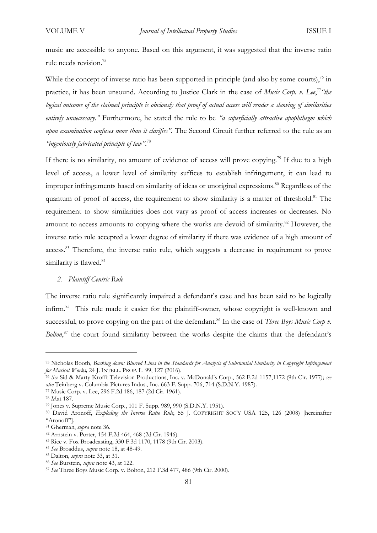music are accessible to anyone. Based on this argument, it was suggested that the inverse ratio rule needs revision.<sup>75</sup>

While the concept of inverse ratio has been supported in principle (and also by some courts), $\frac{7}{6}$  in practice, it has been unsound. According to Justice Clark in the case of *Music Corp. v. Lee*, 77 *"the logical outcome of the claimed principle is obviously that proof of actual access will render a showing of similarities entirely unnecessary."* Furthermore, he stated the rule to be *"a superficially attractive apophthegm which upon examination confuses more than it clarifies".* The Second Circuit further referred to the rule as an *"ingeniously fabricated principle of law"*. 78

If there is no similarity, no amount of evidence of access will prove copying.<sup>79</sup> If due to a high level of access, a lower level of similarity suffices to establish infringement, it can lead to improper infringements based on similarity of ideas or unoriginal expressions. <sup>80</sup> Regardless of the quantum of proof of access, the requirement to show similarity is a matter of threshold.<sup>81</sup> The requirement to show similarities does not vary as proof of access increases or decreases. No amount to access amounts to copying where the works are devoid of similarity.<sup>82</sup> However, the inverse ratio rule accepted a lower degree of similarity if there was evidence of a high amount of access.<sup>83</sup> Therefore, the inverse ratio rule, which suggests a decrease in requirement to prove similarity is flawed.<sup>84</sup>

#### *2. Plaintiff Centric Rule*

The inverse ratio rule significantly impaired a defendant's case and has been said to be logically infirm.<sup>85</sup> This rule made it easier for the plaintiff-owner, whose copyright is well-known and successful, to prove copying on the part of the defendant.<sup>86</sup> In the case of *Three Boys Music Corp v*. *Bolton*, <sup>87</sup> the court found similarity between the works despite the claims that the defendant's

<sup>75</sup> Nicholas Booth, *Backing down: Blurred Lines in the Standards for Analysis of Substantial Similarity in Copyright Infringement for Musical Works,* 24 J. INTELL. PROP. L. 99, 127 (2016).

<sup>76</sup> *See* Sid & Marty Krofft Television Productions, Inc. v. McDonald's Corp., 562 F.2d 1157,1172 (9th Cir. 1977); *see also* Teinberg v. Columbia Pictures Indus., Inc. 663 F. Supp. 706, 714 (S.D.N.Y. 1987).

<sup>77</sup> Music Corp. v. Lee, 296 F.2d 186, 187 (2d Cir. 1961).

<sup>78</sup> *Id*.at 187.

<sup>79</sup> Jones v. Supreme Music Corp., 101 F. Supp. 989, 990 (S.D.N.Y. 1951).

<sup>80</sup> David Aronoff, *Exploding the Inverse Ratio Rule*, 55 J. COPYRIGHT SOC'Y USA 125, 126 (2008) [hereinafter "Aronoff"].

<sup>81</sup> Gherman, *supra* note 36.

<sup>82</sup> Arnstein v. Porter, 154 F.2d 464, 468 (2d Cir. 1946).

<sup>83</sup> Rice v. Fox Broadcasting, 330 F.3d 1170, 1178 (9th Cir. 2003).

<sup>84</sup> *See* Broaddus, *supra* note 18, at 48-49.

<sup>85</sup> Dalton, *supra* note 33, at 31.

<sup>86</sup> *See* Burstein, *supra* note 43, at 122.

<sup>87</sup> *See* Three Boys Music Corp. v. Bolton, 212 F.3d 477, 486 (9th Cir. 2000).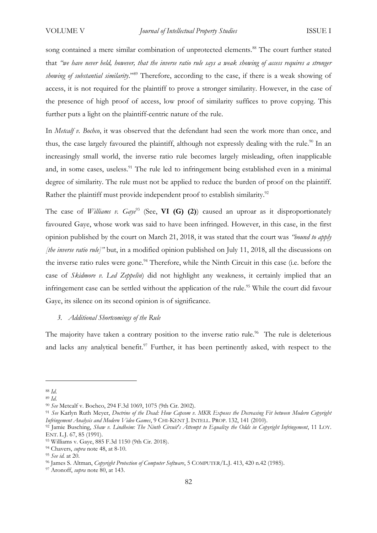song contained a mere similar combination of unprotected elements.<sup>88</sup> The court further stated that *"we have never held, however, that the inverse ratio rule says a weak showing of access requires a stronger showing of substantial similarity*."<sup>89</sup> Therefore, according to the case, if there is a weak showing of access, it is not required for the plaintiff to prove a stronger similarity. However, in the case of the presence of high proof of access, low proof of similarity suffices to prove copying. This further puts a light on the plaintiff-centric nature of the rule.

In *Metcalf v. Bochco*, it was observed that the defendant had seen the work more than once, and thus, the case largely favoured the plaintiff, although not expressly dealing with the rule.<sup>90</sup> In an increasingly small world, the inverse ratio rule becomes largely misleading, often inapplicable and, in some cases, useless.<sup>91</sup> The rule led to infringement being established even in a minimal degree of similarity. The rule must not be applied to reduce the burden of proof on the plaintiff. Rather the plaintiff must provide independent proof to establish similarity.<sup>92</sup>

The case of *Williams v. Gaye*<sup>93</sup> (See, **VI (G) (2)**) caused an uproar as it disproportionately favoured Gaye, whose work was said to have been infringed. However, in this case, in the first opinion published by the court on March 21, 2018, it was stated that the court was *"bound to apply [the inverse ratio rule]"* but, in a modified opinion published on July 11, 2018, all the discussions on the inverse ratio rules were gone.<sup>94</sup> Therefore, while the Ninth Circuit in this case (i.e. before the case of *Skidmore v. Led Zeppelin*) did not highlight any weakness, it certainly implied that an infringement case can be settled without the application of the rule. <sup>95</sup> While the court did favour Gaye, its silence on its second opinion is of significance.

## *3. Additional Shortcomings of the Rule*

The majority have taken a contrary position to the inverse ratio rule.<sup>96</sup> The rule is deleterious and lacks any analytical benefit.<sup>97</sup> Further, it has been pertinently asked, with respect to the

<sup>88</sup> *Id.*

<sup>89</sup> *Id.*

<sup>90</sup> *See* Metcalf v. Bochco, 294 F.3d 1069, 1075 (9th Cir. 2002).

<sup>91</sup> *See* Karlyn Ruth Meyer, *Doctrine of the Dead: How Capcom v. MKR Exposes the Decreasing Fit between Modern Copyright Infringement Analysis and Modern Video Games*, 9 CHI-KENT J. INTELL. PROP. 132, 141 (2010).

<sup>92</sup> Jamie Busching, *Shaw v. Lindheim: The Ninth Circuit's Attempt to Equalize the Odds in Copyright Infringement*, 11 LOY. ENT. L.J. 67, 85 (1991).

<sup>93</sup> Williams v. Gaye, 885 F.3d 1150 (9th Cir. 2018).

<sup>94</sup> Chavers, *supra* note 48, at 8-10.

<sup>95</sup> *See id.* at 20.

<sup>96</sup> James S. Altman, *Copyright Protection of Computer Software*, 5 COMPUTER/L.J. 413, 420 n.42 (1985).

<sup>97</sup> Aronoff, *supra* note 80, at 143.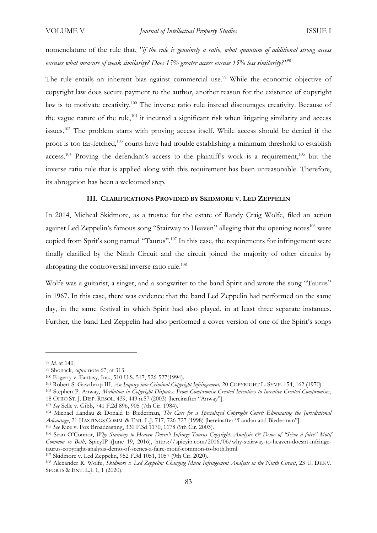nomenclature of the rule that, *"if the rule is genuinely a ratio, what quantum of additional strong access excuses what measure of weak similarity? Does 15% greater access excuse 15% less similarity?"*<sup>98</sup>

The rule entails an inherent bias against commercial use.<sup>99</sup> While the economic objective of copyright law does secure payment to the author, another reason for the existence of copyright law is to motivate creativity.<sup>100</sup> The inverse ratio rule instead discourages creativity. Because of the vague nature of the rule, $101$  it incurred a significant risk when litigating similarity and access issues.<sup>102</sup> The problem starts with proving access itself. While access should be denied if the proof is too far-fetched,<sup>103</sup> courts have had trouble establishing a minimum threshold to establish access.<sup>104</sup> Proving the defendant's access to the plaintiff's work is a requirement,<sup>105</sup> but the inverse ratio rule that is applied along with this requirement has been unreasonable. Therefore, its abrogation has been a welcomed step.

# **III. CLARIFICATIONS PROVIDED BY SKIDMORE V. LED ZEPPELIN**

In 2014, Micheal Skidmore, as a trustee for the estate of Randy Craig Wolfe, filed an action against Led Zeppelin's famous song "Stairway to Heaven" alleging that the opening notes<sup>106</sup> were copied from Sprit's song named "Taurus".<sup>107</sup> In this case, the requirements for infringement were finally clarified by the Ninth Circuit and the circuit joined the majority of other circuits by abrogating the controversial inverse ratio rule.<sup>108</sup>

Wolfe was a guitarist, a singer, and a songwriter to the band Spirit and wrote the song "Taurus" in 1967. In this case, there was evidence that the band Led Zeppelin had performed on the same day, in the same festival in which Spirit had also played, in at least three separate instances. Further, the band Led Zeppelin had also performed a cover version of one of the Spirit's songs

<sup>98</sup> *Id.* at 140.

<sup>99</sup> Shonack, *supra* note 67, at 313.

<sup>100</sup> Fogerty v. Fantasy, Inc., 510 U.S. 517, 526-527(1994).

<sup>101</sup> Robert S. Gawthrop III, *An Inquiry into Criminal Copyright Infringement,* 20 COPYRIGHT L. SYMP. 154, 162 (1970).

<sup>102</sup> Stephen P. Anway, *Mediation in Copyright Disputes: From Compromise Created Incentives to Incentive Created Compromises*, 18 OHIO ST. J. DISP. RESOL. 439, 449 n.57 (2003) [hereinafter "Anway"].

<sup>103</sup> *See* Selle v. Gibb, 741 F.2d 896, 905 (7th Cir. 1984).

<sup>104</sup> Michael Landau & Donald E Biederman, *The Case for a Specialized Copyright Court: Eliminating the Jurisdictional Advantage*, 21 HASTINGS COMM. & ENT. L.J. 717, 726-727 (1998) [hereinafter "Landau and Biederman"]. <sup>105</sup> *See* Rice v. Fox Broadcasting, 330 F.3d 1170, 1178 (9th Cir. 2003).

<sup>106</sup> Sean O'Connor, *Why Stairway to Heaven Doesn't Infringe Taurus Copyright: Analysis & Demo of "Scène à faire" Motif Common to Both*, SpicyIP (June 19, 2016), https://spicyip.com/2016/06/why-stairway-to-heaven-doesnt-infringetaurus-copyright-analysis-demo-of-scenes-a-faire-motif-common-to-both.html.

<sup>107</sup> Skidmore v. Led Zeppelin, 952 F.3d 1051, 1057 (9th Cir. 2020).

<sup>108</sup> Alexander R. Wolfe, *Skidmore v. Led Zeppelin: Changing Music Infringement Analysis in the Ninth Circuit*, 23 U. DENV. SPORTS & ENT. L.J. 1, 1 (2020).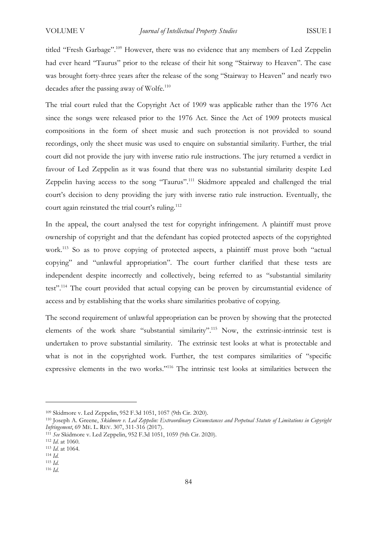titled "Fresh Garbage".<sup>109</sup> However, there was no evidence that any members of Led Zeppelin had ever heard "Taurus" prior to the release of their hit song "Stairway to Heaven". The case was brought forty-three years after the release of the song "Stairway to Heaven" and nearly two decades after the passing away of Wolfe.<sup>110</sup>

The trial court ruled that the Copyright Act of 1909 was applicable rather than the 1976 Act since the songs were released prior to the 1976 Act. Since the Act of 1909 protects musical compositions in the form of sheet music and such protection is not provided to sound recordings, only the sheet music was used to enquire on substantial similarity. Further, the trial court did not provide the jury with inverse ratio rule instructions. The jury returned a verdict in favour of Led Zeppelin as it was found that there was no substantial similarity despite Led Zeppelin having access to the song "Taurus".<sup>111</sup> Skidmore appealed and challenged the trial court's decision to deny providing the jury with inverse ratio rule instruction. Eventually, the court again reinstated the trial court's ruling.<sup>112</sup>

In the appeal, the court analysed the test for copyright infringement. A plaintiff must prove ownership of copyright and that the defendant has copied protected aspects of the copyrighted work.<sup>113</sup> So as to prove copying of protected aspects, a plaintiff must prove both "actual copying" and "unlawful appropriation". The court further clarified that these tests are independent despite incorrectly and collectively, being referred to as "substantial similarity test".<sup>114</sup> The court provided that actual copying can be proven by circumstantial evidence of access and by establishing that the works share similarities probative of copying.

The second requirement of unlawful appropriation can be proven by showing that the protected elements of the work share "substantial similarity".<sup>115</sup> Now, the extrinsic-intrinsic test is undertaken to prove substantial similarity. The extrinsic test looks at what is protectable and what is not in the copyrighted work. Further, the test compares similarities of "specific expressive elements in the two works."<sup>116</sup> The intrinsic test looks at similarities between the

<sup>109</sup> Skidmore v. Led Zeppelin, 952 F.3d 1051, 1057 (9th Cir. 2020).

<sup>110</sup> Joseph A. Greene, *Skidmore v. Led Zeppelin: Extraordinary Circumstances and Perpetual Statute of Limitations in Copyright Infringement*, 69 ME. L. REV. 307, 311-316 (2017).

<sup>111</sup> *See* Skidmore v. Led Zeppelin, 952 F.3d 1051, 1059 (9th Cir. 2020).

<sup>112</sup> *Id*. at 1060.

<sup>113</sup> *Id*. at 1064.

<sup>114</sup> *Id.*

<sup>115</sup> *Id*.

<sup>116</sup> *Id*.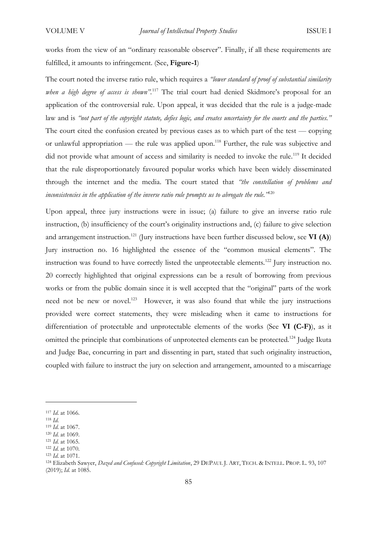works from the view of an "ordinary reasonable observer". Finally, if all these requirements are fulfilled, it amounts to infringement. (See, **Figure-1**)

The court noted the inverse ratio rule, which requires a *"lower standard of proof of substantial similarity when a high degree of access is shown".*<sup>117</sup> The trial court had denied Skidmore's proposal for an application of the controversial rule. Upon appeal, it was decided that the rule is a judge-made law and is *"not part of the copyright statute, defies logic, and creates uncertainty for the courts and the parties."* The court cited the confusion created by previous cases as to which part of the test — copying or unlawful appropriation — the rule was applied upon.<sup>118</sup> Further, the rule was subjective and did not provide what amount of access and similarity is needed to invoke the rule.<sup>119</sup> It decided that the rule disproportionately favoured popular works which have been widely disseminated through the internet and the media. The court stated that *"the constellation of problems and inconsistencies in the application of the inverse ratio rule prompts us to abrogate the rule."*<sup>120</sup>

Upon appeal, three jury instructions were in issue; (a) failure to give an inverse ratio rule instruction, (b) insufficiency of the court's originality instructions and, (c) failure to give selection and arrangement instruction.<sup>121</sup> (Jury instructions have been further discussed below, see **VI (A)**) Jury instruction no. 16 highlighted the essence of the "common musical elements". The instruction was found to have correctly listed the unprotectable elements.<sup>122</sup> Jury instruction no. 20 correctly highlighted that original expressions can be a result of borrowing from previous works or from the public domain since it is well accepted that the "original" parts of the work need not be new or novel.<sup>123</sup> However, it was also found that while the jury instructions provided were correct statements, they were misleading when it came to instructions for differentiation of protectable and unprotectable elements of the works (See **VI (C-F)**), as it omitted the principle that combinations of unprotected elements can be protected.<sup>124</sup> Judge Ikuta and Judge Bae, concurring in part and dissenting in part, stated that such originality instruction, coupled with failure to instruct the jury on selection and arrangement, amounted to a miscarriage

<sup>117</sup> *Id*. at 1066.

<sup>118</sup> *Id*.

<sup>119</sup> *Id*. at 1067.

<sup>120</sup> *Id*. at 1069.

<sup>121</sup> *Id*. at 1065.

<sup>122</sup> *Id*. at 1070.

<sup>123</sup> *Id*. at 1071.

<sup>124</sup> Elizabeth Sawyer, *Dazed and Confused: Copyright Limitation*, 29 DEPAUL J. ART, TECH. & INTELL. PROP. L. 93, 107 (2019); *Id*. at 1085.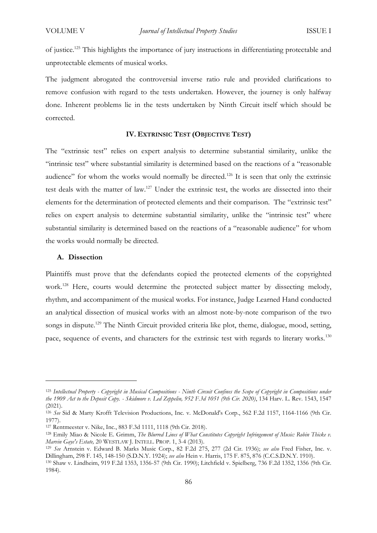of justice.<sup>125</sup> This highlights the importance of jury instructions in differentiating protectable and unprotectable elements of musical works.

The judgment abrogated the controversial inverse ratio rule and provided clarifications to remove confusion with regard to the tests undertaken. However, the journey is only halfway done. Inherent problems lie in the tests undertaken by Ninth Circuit itself which should be corrected.

## **IV. EXTRINSIC TEST (OBJECTIVE TEST)**

The "extrinsic test" relies on expert analysis to determine substantial similarity, unlike the "intrinsic test" where substantial similarity is determined based on the reactions of a "reasonable audience" for whom the works would normally be directed.<sup>126</sup> It is seen that only the extrinsic test deals with the matter of law.<sup>127</sup> Under the extrinsic test, the works are dissected into their elements for the determination of protected elements and their comparison. The "extrinsic test" relies on expert analysis to determine substantial similarity, unlike the "intrinsic test" where substantial similarity is determined based on the reactions of a "reasonable audience" for whom the works would normally be directed.

#### **A. Dissection**

Plaintiffs must prove that the defendants copied the protected elements of the copyrighted work.<sup>128</sup> Here, courts would determine the protected subject matter by dissecting melody, rhythm, and accompaniment of the musical works. For instance, Judge Learned Hand conducted an analytical dissection of musical works with an almost note-by-note comparison of the two songs in dispute.<sup>129</sup> The Ninth Circuit provided criteria like plot, theme, dialogue, mood, setting, pace, sequence of events, and characters for the extrinsic test with regards to literary works.<sup>130</sup>

<sup>125</sup> *Intellectual Property - Copyright in Musical Compositions - Ninth Circuit Confines the Scope of Copyright in Compositions under the 1909 Act to the Deposit Copy. - Skidmore v. Led Zeppelin, 952 F.3d 1051 (9th Cir. 2020)*, 134 Harv. L. Rev. 1543, 1547 (2021).

<sup>&</sup>lt;sup>126</sup> See Sid & Marty Krofft Television Productions, Inc. v. McDonald's Corp., 562 F.2d 1157, 1164-1166 (9th Cir. 1977).

<sup>127</sup> Rentmeester v. Nike, Inc*.*, 883 F.3d 1111, 1118 (9th Cir. 2018).

<sup>128</sup> Emily Miao & Nicole E. Grimm, *The Blurred Lines of What Constitutes Copyright Infringement of Music: Robin Thicke v. Marvin Gaye's Estate,* 20 WESTLAW J. INTELL. PROP. 1, 3-4 (2013).

<sup>129</sup> *See* Arnstein v. Edward B. Marks Music Corp., 82 F.2d 275, 277 (2d Cir. 1936); *see also* Fred Fisher, Inc. v. Dillingham, 298 F. 145, 148-150 (S.D.N.Y. 1924); *see also* Hein v. Harris, 175 F. 875, 876 (C.C.S.D.N.Y. 1910).

<sup>130</sup> Shaw v. Lindheim, 919 F.2d 1353, 1356-57 (9th Cir. 1990); Litchfield v. Spielberg, 736 F.2d 1352, 1356 (9th Cir. 1984).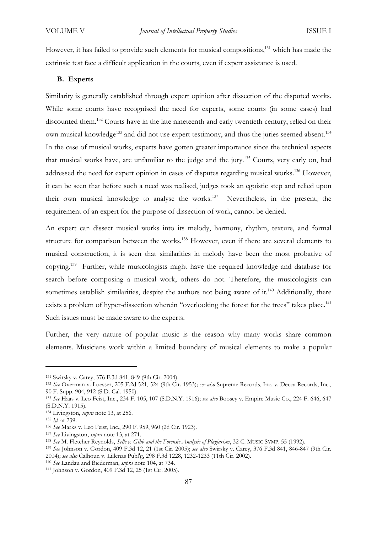However, it has failed to provide such elements for musical compositions,<sup>131</sup> which has made the extrinsic test face a difficult application in the courts, even if expert assistance is used.

# **B. Experts**

Similarity is generally established through expert opinion after dissection of the disputed works. While some courts have recognised the need for experts, some courts (in some cases) had discounted them.<sup>132</sup> Courts have in the late nineteenth and early twentieth century, relied on their own musical knowledge<sup>133</sup> and did not use expert testimony, and thus the juries seemed absent.<sup>134</sup> In the case of musical works, experts have gotten greater importance since the technical aspects that musical works have, are unfamiliar to the judge and the jury.<sup>135</sup> Courts, very early on, had addressed the need for expert opinion in cases of disputes regarding musical works.<sup>136</sup> However, it can be seen that before such a need was realised, judges took an egoistic step and relied upon their own musical knowledge to analyse the works.<sup>137</sup> Nevertheless, in the present, the requirement of an expert for the purpose of dissection of work, cannot be denied.

An expert can dissect musical works into its melody, harmony, rhythm, texture, and formal structure for comparison between the works.<sup>138</sup> However, even if there are several elements to musical construction, it is seen that similarities in melody have been the most probative of copying.<sup>139</sup> Further, while musicologists might have the required knowledge and database for search before composing a musical work, others do not. Therefore, the musicologists can sometimes establish similarities, despite the authors not being aware of it.<sup>140</sup> Additionally, there exists a problem of hyper-dissection wherein "overlooking the forest for the trees" takes place.<sup>141</sup> Such issues must be made aware to the experts.

Further, the very nature of popular music is the reason why many works share common elements. Musicians work within a limited boundary of musical elements to make a popular

<sup>131</sup> Swirsky v. Carey, 376 F.3d 841, 849 (9th Cir. 2004).

<sup>132</sup> *See* Overman v. Loesser, 205 F.2d 521, 524 (9th Cir. 1953); *see also* Supreme Records, Inc. v. Decca Records, Inc., 90 F. Supp. 904, 912 (S.D. Cal. 1950).

<sup>133</sup> *See* Haas v. Leo Feist, Inc., 234 F. 105, 107 (S.D.N.Y. 1916); *see also* Boosey v. Empire Music Co., 224 F. 646, 647 (S.D.N.Y. 1915).

<sup>134</sup> Livingston, *supra* note 13, at 256.

<sup>135</sup> *Id.* at 239.

<sup>136</sup> *See* Marks v. Leo Feist, Inc., 290 F. 959, 960 (2d Cir. 1923).

<sup>137</sup> *See* Livingston, *supra* note 13, at 271.

<sup>138</sup> *See* M. Fletcher Reynolds, *Selle v. Gibb and the Forensic Analysis of Plagiarism*, 32 C. MUSIC SYMP. 55 (1992).

<sup>139</sup> *See* Johnson v. Gordon, 409 F.3d 12, 21 (1st Cir. 2005); *see also* Swirsky v. Carey, 376 F.3d 841, 846-847 (9th Cir. 2004); *see also* Calhoun v. Lillenas Publ'g, 298 F.3d 1228, 1232-1233 (11th Cir. 2002).

<sup>140</sup> *See* Landau and Biederman, *supra* note 104, at 734.

<sup>141</sup> Johnson v. Gordon, 409 F.3d 12, 25 (1st Cir. 2005).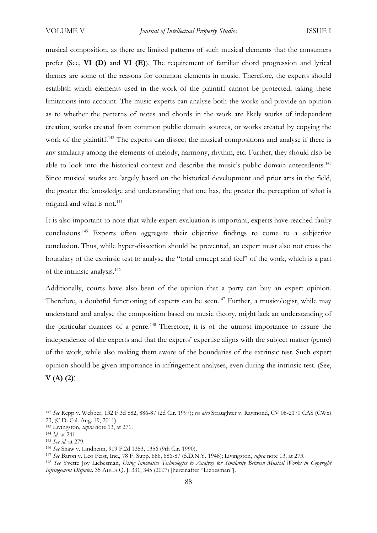musical composition, as there are limited patterns of such musical elements that the consumers prefer (See, **VI (D)** and **VI (E)**). The requirement of familiar chord progression and lyrical themes are some of the reasons for common elements in music. Therefore, the experts should establish which elements used in the work of the plaintiff cannot be protected, taking these limitations into account. The music experts can analyse both the works and provide an opinion as to whether the patterns of notes and chords in the work are likely works of independent creation, works created from common public domain sources, or works created by copying the work of the plaintiff.<sup>142</sup> The experts can dissect the musical compositions and analyse if there is any similarity among the elements of melody, harmony, rhythm, etc. Further, they should also be able to look into the historical context and describe the music's public domain antecedents.<sup>143</sup> Since musical works are largely based on the historical development and prior arts in the field, the greater the knowledge and understanding that one has, the greater the perception of what is original and what is not.<sup>144</sup>

It is also important to note that while expert evaluation is important, experts have reached faulty conclusions.<sup>145</sup> Experts often aggregate their objective findings to come to a subjective conclusion. Thus, while hyper-dissection should be prevented, an expert must also not cross the boundary of the extrinsic test to analyse the "total concept and feel" of the work, which is a part of the intrinsic analysis.<sup>146</sup>

Additionally, courts have also been of the opinion that a party can buy an expert opinion. Therefore, a doubtful functioning of experts can be seen.<sup>147</sup> Further, a musicologist, while may understand and analyse the composition based on music theory, might lack an understanding of the particular nuances of a genre.<sup>148</sup> Therefore, it is of the utmost importance to assure the independence of the experts and that the experts' expertise aligns with the subject matter (genre) of the work, while also making them aware of the boundaries of the extrinsic test. Such expert opinion should be given importance in infringement analyses, even during the intrinsic test. (See,

**V (A) (2)**)

<sup>142</sup> *See* Repp v. Webber, 132 F.3d 882, 886-87 (2d Cir. 1997); *see also* Straughter v. Raymond, CV 08-2170 CAS (CWx) 23, (C.D. Cal. Aug. 19, 2011).

<sup>143</sup> Livingston, *supra* note 13, at 271.

<sup>144</sup> *Id.* at 241.

<sup>145</sup> *See id.* at 279.

<sup>146</sup> *See* Shaw v. Lindheim, 919 F.2d 1353, 1356 (9th Cir. 1990).

<sup>147</sup> *See* Baron v. Leo Feist, Inc., 78 F. Supp. 686, 686-87 (S.D.N.Y. 1948); Livingston, *supra* note 13, at 273.

<sup>148</sup> *See* Yvette Joy Liebesman, *Using Innovative Technologies to Analyze for Similarity Between Musical Works in Copyright Infringement Disputes,* 35 AIPLA Q. J. 331, 345 (2007) [hereinafter "Liebesman"].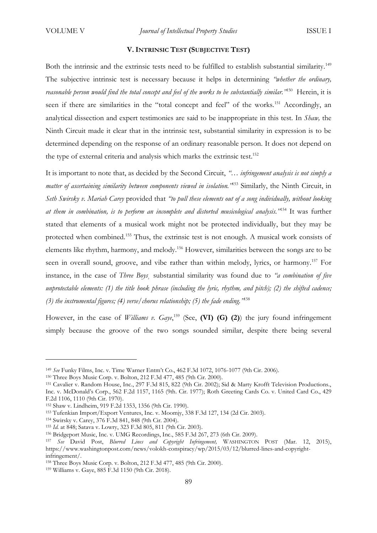## **V. INTRINSIC TEST (SUBJECTIVE TEST)**

Both the intrinsic and the extrinsic tests need to be fulfilled to establish substantial similarity.<sup>149</sup> The subjective intrinsic test is necessary because it helps in determining *"whether the ordinary, reasonable person would find the total concept and feel of the works to be substantially similar."*<sup>150</sup> Herein, it is seen if there are similarities in the "total concept and feel" of the works.<sup>151</sup> Accordingly, an analytical dissection and expert testimonies are said to be inappropriate in this test. In *Shaw,* the Ninth Circuit made it clear that in the intrinsic test, substantial similarity in expression is to be determined depending on the response of an ordinary reasonable person. It does not depend on the type of external criteria and analysis which marks the extrinsic test.<sup>152</sup>

It is important to note that, as decided by the Second Circuit, *"… infringement analysis is not simply a matter of ascertaining similarity between components viewed in isolation."*<sup>153</sup> Similarly, the Ninth Circuit, in *Seth Swirsky v. Mariah Carey* provided that *"to pull these elements out of a song individually, without looking at them in combination, is to perform an incomplete and distorted musicological analysis."*<sup>154</sup> It was further stated that elements of a musical work might not be protected individually, but they may be protected when combined.<sup>155</sup> Thus, the extrinsic test is not enough. A musical work consists of elements like rhythm, harmony, and melody.<sup>156</sup> However, similarities between the songs are to be seen in overall sound, groove, and vibe rather than within melody, lyrics, or harmony.<sup>157</sup> For instance, in the case of *Three Boys¸* substantial similarity was found due to *"a combination of five unprotectable elements: (1) the title hook phrase (including the lyric, rhythm, and pitch); (2) the shifted cadence; (3) the instrumental figures; (4) verse/chorus relationship; (5) the fade ending."*<sup>158</sup>

However, in the case of *Williams v. Gaye*,<sup>159</sup> (See, **(VI) (G) (2)**) the jury found infringement simply because the groove of the two songs sounded similar, despite there being several

<sup>149</sup> *See* Funky Films, Inc. v. Time Warner Entm't Co., 462 F.3d 1072, 1076-1077 (9th Cir. 2006).

<sup>150</sup> Three Boys Music Corp. v. Bolton, 212 F.3d 477, 485 (9th Cir. 2000).

<sup>151</sup> Cavalier v. Random House, Inc., 297 F.3d 815, 822 (9th Cir. 2002); Sid & Marty Krofft Television Productions., Inc. v. McDonald's Corp., 562 F.2d 1157, 1165 (9th. Cir. 1977); Roth Greeting Cards Co. v. United Card Co., 429 F.2d 1106, 1110 (9th Cir. 1970).

<sup>152</sup> Shaw v. Lindheim, 919 F.2d 1353, 1356 (9th Cir. 1990).

<sup>153</sup> Tufenkian Import/Export Ventures, Inc. v. Moomjy, 338 F.3d 127, 134 (2d Cir. 2003).

<sup>154</sup> Swirsky v. Carey, 376 F.3d 841, 848 (9th Cir. 2004).

<sup>155</sup> *Id.* at 848; Satava v. Lowry, 323 F.3d 805, 811 (9th Cir. 2003).

<sup>156</sup> Bridgeport Music, Inc. v. UMG Recordings, Inc., 585 F.3d 267, 273 (6th Cir. 2009).

<sup>157</sup> *See* David Post, *Blurred Lines and Copyright Infringement,* WASHINGTON POST (Mar. 12, 2015), https://www.washingtonpost.com/news/volokh-conspiracy/wp/2015/03/12/blurred-lines-and-copyrightinfringement/.

<sup>158</sup> Three Boys Music Corp. v. Bolton, 212 F.3d 477, 485 (9th Cir. 2000).

<sup>159</sup> Williams v. Gaye, 885 F.3d 1150 (9th Cir. 2018).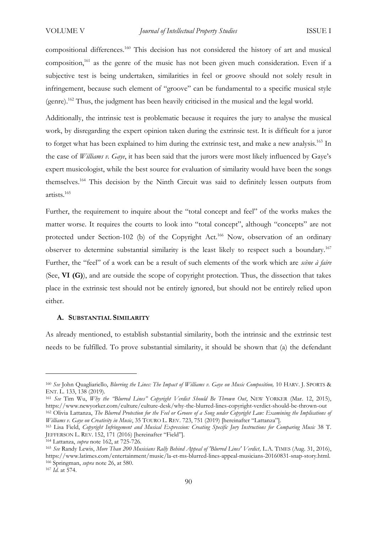compositional differences.<sup>160</sup> This decision has not considered the history of art and musical composition,<sup>161</sup> as the genre of the music has not been given much consideration. Even if a subjective test is being undertaken, similarities in feel or groove should not solely result in infringement, because such element of "groove" can be fundamental to a specific musical style (genre).<sup>162</sup> Thus, the judgment has been heavily criticised in the musical and the legal world.

Additionally, the intrinsic test is problematic because it requires the jury to analyse the musical work, by disregarding the expert opinion taken during the extrinsic test. It is difficult for a juror to forget what has been explained to him during the extrinsic test, and make a new analysis.<sup>163</sup> In the case of *Williams v. Gaye*, it has been said that the jurors were most likely influenced by Gaye's expert musicologist, while the best source for evaluation of similarity would have been the songs themselves.<sup>164</sup> This decision by the Ninth Circuit was said to definitely lessen outputs from artists.<sup>165</sup>

Further, the requirement to inquire about the "total concept and feel" of the works makes the matter worse. It requires the courts to look into "total concept", although "concepts" are not protected under Section-102 (b) of the Copyright Act.<sup>166</sup> Now, observation of an ordinary observer to determine substantial similarity is the least likely to respect such a boundary.<sup>167</sup> Further, the "feel" of a work can be a result of such elements of the work which are *scène à faire* (See, **VI (G)**), and are outside the scope of copyright protection. Thus, the dissection that takes place in the extrinsic test should not be entirely ignored, but should not be entirely relied upon either.

#### **A. SUBSTANTIAL SIMILARITY**

As already mentioned, to establish substantial similarity, both the intrinsic and the extrinsic test needs to be fulfilled. To prove substantial similarity, it should be shown that (a) the defendant

<sup>160</sup> *See* John Quagliariello, *Blurring the Lines: The Impact of Williams v. Gaye on Music Composition,* 10 HARV. J. SPORTS & ENT. L. 133, 138 (2019).

<sup>161</sup> *See* Tim Wu, *Why the "Blurred Lines" Copyright Verdict Should Be Thrown Out*, NEW YORKER (Mar. 12, 2015), https://www.newyorker.com/culture/culture-desk/why-the-blurred-lines-copyright-verdict-should-be-thrown-out <sup>162</sup> Olivia Lattanza, *The Blurred Protection for the Feel or Groove of a Song under Copyright Law: Examining the Implications of Williams v. Gaye on Creativity in Music*, 35 TOURO L. REV. 723, 751 (2019) [hereinafter "Lattanza"].

<sup>&</sup>lt;sup>163</sup> Lisa Field, *Copyright Infringement and Musical Expression: Creating Specific Jury Instructions for Comparing Music 38 T.* JEFFERSON L. REV. 152, 171 (2016) [hereinafter "Field"].

<sup>164</sup> Lattanza, *supra* note 162, at 725-726.

<sup>165</sup> *See* Randy Lewis, *More Than 200 Musicians Rally Behind Appeal of 'Blurred Lines' Verdict,* L.A. TIMES (Aug. 31, 2016), https://www.latimes.com/entertainment/music/la-et-ms-blurred-lines-appeal-musicians-20160831-snap-story.html. <sup>166</sup> Springman, *supra* note 26, at 580.

<sup>167</sup> *Id.* at 574.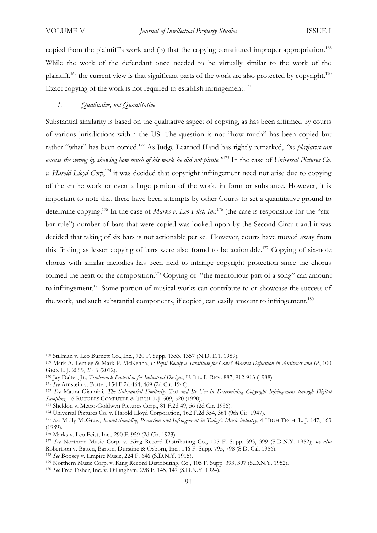copied from the plaintiff's work and (b) that the copying constituted improper appropriation.<sup>168</sup> While the work of the defendant once needed to be virtually similar to the work of the plaintiff,<sup>169</sup> the current view is that significant parts of the work are also protected by copyright.<sup>170</sup> Exact copying of the work is not required to establish infringement.<sup>171</sup>

# *1. Qualitative, not Quantitative*

Substantial similarity is based on the qualitative aspect of copying, as has been affirmed by courts of various jurisdictions within the US. The question is not "how much" has been copied but rather "what" has been copied.<sup>172</sup> As Judge Learned Hand has rightly remarked, *"no plagiarist can excuse the wrong by showing how much of his work he did not pirate."*<sup>173</sup> In the case of *Universal Pictures Co. v. Harold Lloyd Corp*, <sup>174</sup> it was decided that copyright infringement need not arise due to copying of the entire work or even a large portion of the work, in form or substance. However, it is important to note that there have been attempts by other Courts to set a quantitative ground to determine copying.<sup>175</sup> In the case of *Marks v. Leo Feist, Inc.*<sup>176</sup> (the case is responsible for the "sixbar rule") number of bars that were copied was looked upon by the Second Circuit and it was decided that taking of six bars is not actionable per se. However, courts have moved away from this finding as lesser copying of bars were also found to be actionable.<sup>177</sup> Copying of six-note chorus with similar melodies has been held to infringe copyright protection since the chorus formed the heart of the composition.<sup>178</sup> Copying of "the meritorious part of a song" can amount to infringement.<sup>179</sup> Some portion of musical works can contribute to or showcase the success of the work, and such substantial components, if copied, can easily amount to infringement.<sup>180</sup>

<sup>168</sup> Stillman v. Leo Burnett Co., Inc., 720 F. Supp. 1353, 1357 (N.D. I11. 1989).

<sup>169</sup> Mark A. Lemley & Mark P. McKenna, *Is Pepsi Really a Substitute for Coke? Market Definition in Antitrust and IP*, 100 GEO. L. J. 2055, 2105 (2012).

<sup>170</sup> Jay Dalter, Jr., *Trademark Protection for Industrial Designs*, U. ILL. L. REV. 887, 912-913 (1988).

<sup>171</sup> *See* Arnstein v. Porter, 154 F.2d 464, 469 (2d Cir. 1946).

<sup>172</sup> *See* Maura Giannini, *The Substantial Similarity Test and Its Use in Determining Copyright Infringement through Digital Sampling,* 16 RUTGERS COMPUTER & TECH. L.J. 509, 520 (1990).

<sup>173</sup> Sheldon v. Metro-Goldwyn Pictures Corp., 81 F.2d 49, 56 (2d Cir. 1936).

<sup>174</sup> Universal Pictures Co. v. Harold Lloyd Corporation, 162 F.2d 354, 361 (9th Cir. 1947).

<sup>175</sup> *See* Molly McGraw, *Sound Sampling Protection and Infringement in Today's Music industry*, 4 HIGH TECH. L. J. 147, 163 (1989).

<sup>176</sup> Marks v. Leo Feist, Inc., 290 F. 959 (2d Cir. 1923).

<sup>177</sup> *See* Northern Music Corp. v. King Record Distributing Co., 105 F. Supp. 393, 399 (S.D.N.Y. 1952); *see also* Robertson v. Batten, Barton, Durstine & Osborn, Inc., 146 F. Supp. 795, 798 (S.D. Cal. 1956).

<sup>178</sup> *See* Boosey v. Empire Music, 224 F. 646 (S.D.N.Y. 1915).

<sup>179</sup> Northern Music Corp. v. King Record Distributing. Co., 105 F. Supp. 393, 397 (S.D.N.Y. 1952).

<sup>180</sup> *See* Fred Fisher, Inc. v. Dillingham, 298 F. 145, 147 (S.D.N.Y. 1924).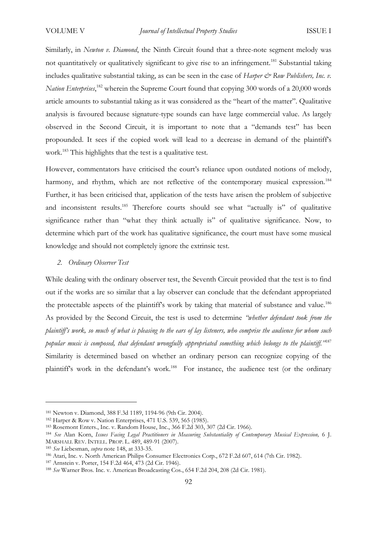Similarly, in *Newton v. Diamond*, the Ninth Circuit found that a three-note segment melody was not quantitatively or qualitatively significant to give rise to an infringement.<sup>181</sup> Substantial taking includes qualitative substantial taking, as can be seen in the case of *Harper & Row Publishers, Inc. v. Nation Enterprises*, <sup>182</sup> wherein the Supreme Court found that copying 300 words of a 20,000 words article amounts to substantial taking as it was considered as the "heart of the matter". Qualitative analysis is favoured because signature-type sounds can have large commercial value. As largely observed in the Second Circuit, it is important to note that a "demands test" has been propounded. It sees if the copied work will lead to a decrease in demand of the plaintiff's work.<sup>183</sup> This highlights that the test is a qualitative test.

However, commentators have criticised the court's reliance upon outdated notions of melody, harmony, and rhythm, which are not reflective of the contemporary musical expression.<sup>184</sup> Further, it has been criticised that, application of the tests have arisen the problem of subjective and inconsistent results.<sup>185</sup> Therefore courts should see what "actually is" of qualitative significance rather than "what they think actually is" of qualitative significance. Now, to determine which part of the work has qualitative significance, the court must have some musical knowledge and should not completely ignore the extrinsic test.

### *2. Ordinary Observer Test*

While dealing with the ordinary observer test, the Seventh Circuit provided that the test is to find out if the works are so similar that a lay observer can conclude that the defendant appropriated the protectable aspects of the plaintiff's work by taking that material of substance and value.<sup>186</sup> As provided by the Second Circuit, the test is used to determine *"whether defendant took from the plaintiff's work, so much of what is pleasing to the ears of lay listeners, who comprise the audience for whom such popular music is composed, that defendant wrongfully appropriated something which belongs to the plaintiff."*<sup>187</sup> Similarity is determined based on whether an ordinary person can recognize copying of the plaintiff's work in the defendant's work.<sup>188</sup> For instance, the audience test (or the ordinary

<sup>181</sup> Newton v. Diamond, 388 F.3d 1189, 1194-96 (9th Cir. 2004).

<sup>182</sup> Harper & Row v. Nation Enterprises, 471 U.S. 539, 565 (1985).

<sup>183</sup> Rosemont Enters., Inc. v. Random House, Inc., 366 F.2d 303, 307 (2d Cir. 1966).

<sup>184</sup> *See* Alan Korn, *Issues Facing Legal Practitioners in Measuring Substantiality of Contemporary Musical Expression,* 6 J. MARSHALL REV. INTELL. PROP. L. 489, 489-91 (2007).

<sup>185</sup> *See* Liebesman, *supra* note 148, at 333-35.

<sup>186</sup> Atari, Inc. v. North American Philips Consumer Electronics Corp., 672 F.2d 607, 614 (7th Cir. 1982).

<sup>187</sup> Arnstein v. Porter, 154 F.2d 464, 473 (2d Cir. 1946).

<sup>188</sup> *See* Warner Bros. Inc. v. American Broadcasting Cos., 654 F.2d 204, 208 (2d Cir. 1981).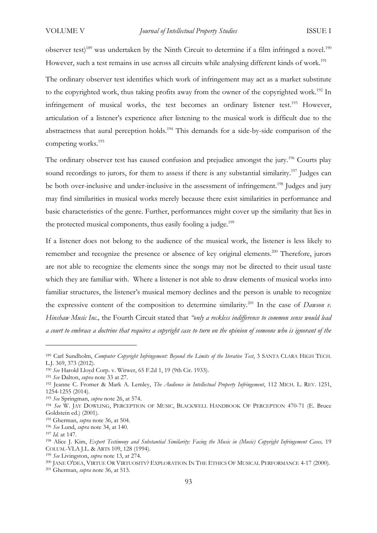observer test)<sup>189</sup> was undertaken by the Ninth Circuit to determine if a film infringed a novel.<sup>190</sup> However, such a test remains in use across all circuits while analysing different kinds of work.<sup>191</sup>

The ordinary observer test identifies which work of infringement may act as a market substitute to the copyrighted work, thus taking profits away from the owner of the copyrighted work.<sup>192</sup> In infringement of musical works, the test becomes an ordinary listener test.<sup>193</sup> However, articulation of a listener's experience after listening to the musical work is difficult due to the abstractness that aural perception holds.<sup>194</sup> This demands for a side-by-side comparison of the competing works.<sup>195</sup>

The ordinary observer test has caused confusion and prejudice amongst the jury.<sup>196</sup> Courts play sound recordings to jurors, for them to assess if there is any substantial similarity.<sup>197</sup> Judges can be both over-inclusive and under-inclusive in the assessment of infringement.<sup>198</sup> Judges and jury may find similarities in musical works merely because there exist similarities in performance and basic characteristics of the genre. Further, performances might cover up the similarity that lies in the protected musical components, thus easily fooling a judge.<sup>199</sup>

If a listener does not belong to the audience of the musical work, the listener is less likely to remember and recognize the presence or absence of key original elements.<sup>200</sup> Therefore, jurors are not able to recognize the elements since the songs may not be directed to their usual taste which they are familiar with. Where a listener is not able to draw elements of musical works into familiar structures, the listener's musical memory declines and the person is unable to recognize the expressive content of the composition to determine similarity.<sup>201</sup> In the case of *Dawson v. Hinshaw Music Inc.,* the Fourth Circuit stated that *"only a reckless indifference to common sense would lead a court to embrace a doctrine that requires a copyright case to turn on the opinion of someone who is ignorant of the* 

<sup>&</sup>lt;sup>189</sup> Carl Sundholm, *Computer Copyright Infringement: Beyond the Limits of the Iterative Test*, 3 SANTA CLARA HIGH TECH. L.J. 369, 373 (2012).

<sup>190</sup> *See* Harold Lloyd Corp. v. Witwer, 65 F.2d 1, 19 (9th Cir. 1933).

<sup>191</sup> *See* Dalton, *supra* note 33 at 27.

<sup>192</sup> Jeanne C. Fromer & Mark A. Lemley, *The Audience in Intellectual Property Infringement*, 112 MICH. L. REV. 1251, 1254-1255 (2014).

<sup>193</sup> *See* Springman, *supra* note 26, at 574.

<sup>194</sup> *See* W. JAY DOWLING, PERCEPTION OF MUSIC, BLACKWELL HANDBOOK OF PERCEPTION 470-71 (E. Bruce Goldstein ed.) (2001).

<sup>195</sup> Gherman, *supra* note 36, at 504.

<sup>196</sup> *See* Lund, *supra* note 34, at 140.

<sup>197</sup> *Id.* at 147.

<sup>198</sup> Alice J. Kim, *Expert Testimony and Substantial Similarity: Facing the Music in (Music) Copyright Infringement Cases,* 19 COLUM.-VLA J.L. & ARTS 109, 128 (1994).

<sup>199</sup> *See* Livingston, *supra* note 13, at 274.

<sup>200</sup> JANE O'DEA, VIRTUE OR VIRTUOSITY? EXPLORATION IN THE ETHICS OF MUSICAL PERFORMANCE 4-17 (2000).

<sup>201</sup> Gherman, *supra* note 36, at 513.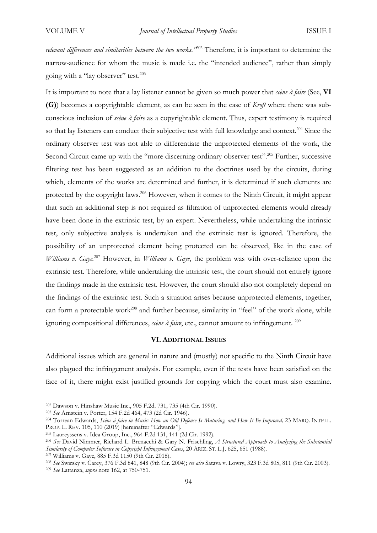*relevant differences and similarities between the two works."*<sup>202</sup> Therefore, it is important to determine the narrow-audience for whom the music is made i.e. the "intended audience", rather than simply going with a "lay observer" test.<sup>203</sup>

It is important to note that a lay listener cannot be given so much power that *scène à faire* (See, **VI (G)**) becomes a copyrightable element, as can be seen in the case of *Kroft* where there was subconscious inclusion of *scène à faire* as a copyrightable element. Thus, expert testimony is required so that lay listeners can conduct their subjective test with full knowledge and context.<sup>204</sup> Since the ordinary observer test was not able to differentiate the unprotected elements of the work, the Second Circuit came up with the "more discerning ordinary observer test".<sup>205</sup> Further, successive filtering test has been suggested as an addition to the doctrines used by the circuits, during which, elements of the works are determined and further, it is determined if such elements are protected by the copyright laws.<sup>206</sup> However, when it comes to the Ninth Circuit, it might appear that such an additional step is not required as filtration of unprotected elements would already have been done in the extrinsic test, by an expert. Nevertheless, while undertaking the intrinsic test, only subjective analysis is undertaken and the extrinsic test is ignored. Therefore, the possibility of an unprotected element being protected can be observed, like in the case of *Williams v. Gaye.*<sup>207</sup> However, in *Williams v. Gaye*, the problem was with over-reliance upon the extrinsic test. Therefore, while undertaking the intrinsic test, the court should not entirely ignore the findings made in the extrinsic test. However, the court should also not completely depend on the findings of the extrinsic test. Such a situation arises because unprotected elements, together, can form a protectable work<sup>208</sup> and further because, similarity in "feel" of the work alone, while ignoring compositional differences, *scène à faire*, etc., cannot amount to infringement. <sup>209</sup>

## **VI. ADDITIONAL ISSUES**

Additional issues which are general in nature and (mostly) not specific to the Ninth Circuit have also plagued the infringement analysis. For example, even if the tests have been satisfied on the face of it, there might exist justified grounds for copying which the court must also examine.

<sup>202</sup> Dawson v. Hinshaw Music Inc., 905 F.2d. 731, 735 (4th Cir. 1990).

<sup>203</sup> *See* Arnstein v. Porter, 154 F.2d 464, 473 (2d Cir. 1946).

<sup>204</sup> Torrean Edwards, *Scène à faire in Music: How an Old Defense Is Maturing, and How It Be Improved,* 23 MARQ. INTELL. PROP. L. REV. 105, 110 (2019) [hereinafter "Edwards"].

<sup>205</sup> Laureyssens v. Idea Group, Inc., 964 F.2d 131, 141 (2d Cir. 1992).

<sup>206</sup> *See* David Nimmer, Richard L. Brenacchi & Gary N. Frischling, *A Structured Approach to Analyzing the Substantial Similarity of Computer Software in Copyright Infringement Cases*, 20 ARIZ. ST. L.J. 625, 651 (1988). <sup>207</sup> Williams v. Gaye, 885 F.3d 1150 (9th Cir. 2018).

<sup>208</sup> *See* Swirsky v. Carey, 376 F.3d 841, 848 (9th Cir. 2004); *see also* Satava v. Lowry, 323 F.3d 805, 811 (9th Cir. 2003). <sup>209</sup> *See* Lattanza, *supra* note 162, at 750-751.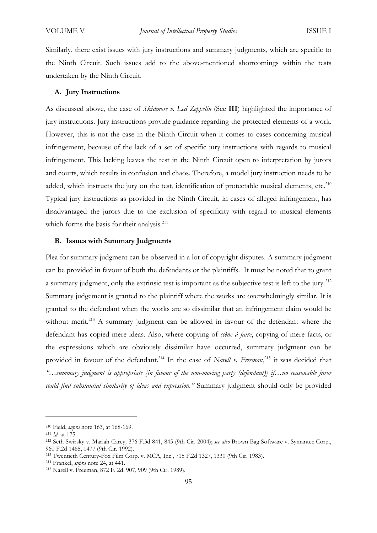Similarly, there exist issues with jury instructions and summary judgments, which are specific to the Ninth Circuit. Such issues add to the above-mentioned shortcomings within the tests undertaken by the Ninth Circuit.

#### **A. Jury Instructions**

As discussed above, the case of *Skidmore v. Led Zeppelin* (See **III**) highlighted the importance of jury instructions. Jury instructions provide guidance regarding the protected elements of a work. However, this is not the case in the Ninth Circuit when it comes to cases concerning musical infringement, because of the lack of a set of specific jury instructions with regards to musical infringement. This lacking leaves the test in the Ninth Circuit open to interpretation by jurors and courts, which results in confusion and chaos. Therefore, a model jury instruction needs to be added, which instructs the jury on the test, identification of protectable musical elements, etc.<sup>210</sup> Typical jury instructions as provided in the Ninth Circuit, in cases of alleged infringement, has disadvantaged the jurors due to the exclusion of specificity with regard to musical elements which forms the basis for their analysis.<sup>211</sup>

# **B. Issues with Summary Judgments**

Plea for summary judgment can be observed in a lot of copyright disputes. A summary judgment can be provided in favour of both the defendants or the plaintiffs. It must be noted that to grant a summary judgment, only the extrinsic test is important as the subjective test is left to the jury*.* 212 Summary judgement is granted to the plaintiff where the works are overwhelmingly similar. It is granted to the defendant when the works are so dissimilar that an infringement claim would be without merit.<sup>213</sup> A summary judgment can be allowed in favour of the defendant where the defendant has copied mere ideas. Also, where copying of *scène à faire*, copying of mere facts, or the expressions which are obviously dissimilar have occurred, summary judgment can be provided in favour of the defendant.<sup>214</sup> In the case of *Narell v. Freeman*, <sup>215</sup> it was decided that *"…summary judgment is appropriate [in favour of the non-moving party (defendant)] if…no reasonable juror could find substantial similarity of ideas and expression."* Summary judgment should only be provided

<sup>210</sup> Field, *supra* note 163, at 168-169.

<sup>211</sup> *Id.* at 175.

<sup>212</sup> Seth Swirsky v. Mariah Carey*,* 376 F.3d 841, 845 (9th Cir. 2004); *see also* Brown Bag Software v. Symantec Corp., 960 F.2d 1465, 1477 (9th Cir. 1992).

<sup>213</sup> Twentieth Century-Fox Film Corp. v. MCA, Inc., 715 F.2d 1327, 1330 (9th Cir. 1983).

<sup>214</sup> Frankel, *supra* note 24, at 441.

<sup>215</sup> Narell v. Freeman, 872 F. 2d. 907, 909 (9th Cir. 1989).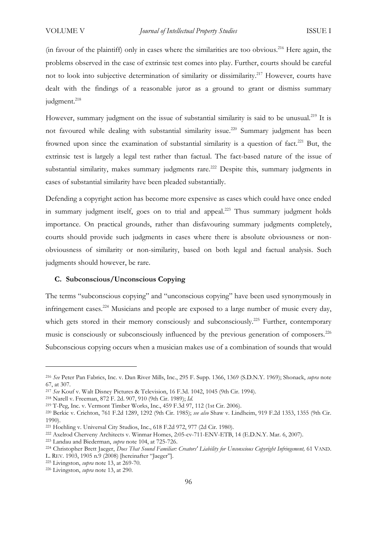(in favour of the plaintiff) only in cases where the similarities are too obvious.<sup>216</sup> Here again, the problems observed in the case of extrinsic test comes into play. Further, courts should be careful not to look into subjective determination of similarity or dissimilarity. <sup>217</sup> However, courts have dealt with the findings of a reasonable juror as a ground to grant or dismiss summary judgment. 218

However, summary judgment on the issue of substantial similarity is said to be unusual.<sup>219</sup> It is not favoured while dealing with substantial similarity issue.<sup>220</sup> Summary judgment has been frowned upon since the examination of substantial similarity is a question of fact.<sup>221</sup> But, the extrinsic test is largely a legal test rather than factual. The fact-based nature of the issue of substantial similarity, makes summary judgments rare.<sup>222</sup> Despite this, summary judgments in cases of substantial similarity have been pleaded substantially.

Defending a copyright action has become more expensive as cases which could have once ended in summary judgment itself, goes on to trial and appeal.<sup>223</sup> Thus summary judgment holds importance. On practical grounds, rather than disfavouring summary judgments completely, courts should provide such judgments in cases where there is absolute obviousness or nonobviousness of similarity or non-similarity, based on both legal and factual analysis. Such judgments should however, be rare.

#### **C. Subconscious/Unconscious Copying**

The terms "subconscious copying" and "unconscious copying" have been used synonymously in infringement cases.<sup>224</sup> Musicians and people are exposed to a large number of music every day, which gets stored in their memory consciously and subconsciously.<sup>225</sup> Further, contemporary music is consciously or subconsciously influenced by the previous generation of composers.<sup>226</sup> Subconscious copying occurs when a musician makes use of a combination of sounds that would

<sup>216</sup> *See* Peter Pan Fabrics, Inc. v. Dan River Mills, Inc., 295 F. Supp. 1366, 1369 (S.D.N.Y. 1969); Shonack, *supra* note 67, at 307.

<sup>217</sup> *See* Kouf v. Walt Disney Pictures & Television, 16 F.3d. 1042, 1045 (9th Cir. 1994).

<sup>218</sup> Narell v. Freeman, 872 F. 2d. 907, 910 (9th Cir. 1989); *Id.*

<sup>219</sup> T-Peg, Inc. v. Vermont Timber Works, Inc., 459 F.3d 97, 112 (1st Cir. 2006).

<sup>220</sup> Berkic v. Crichton, 761 F.2d 1289, 1292 (9th Cir. 1985); *see also* Shaw v. Lindheim, 919 F.2d 1353, 1355 (9th Cir. 1990).

<sup>221</sup> Hoehling v. Universal City Studios, Inc., 618 F.2d 972, 977 (2d Cir. 1980).

<sup>222</sup> Axelrod Cherveny Architects v. Winmar Homes, 2:05-cv-711-ENV-ETB, 14 (E.D.N.Y. Mar. 6, 2007).

<sup>223</sup> Landau and Biederman, *supra* note 104, at 725-726.

<sup>224</sup> Christopher Brett Jaeger, *Does That Sound Familiar: Creators' Liability for Unconscious Copyright Infringement,* 61 VAND. L. REV. 1903, 1905 n.9 (2008) [hereinafter "Jaeger"].

<sup>225</sup> Livingston, *supra* note 13, at 269-70.

<sup>226</sup> Livingston, *supra* note 13, at 290.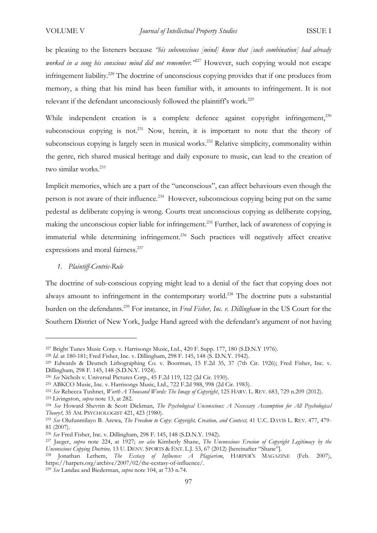be pleasing to the listeners because *"his subconscious [mind] knew that [such combination] had already worked in a song his conscious mind did not remember."*<sup>227</sup> However, such copying would not escape infringement liability.<sup>228</sup> The doctrine of unconscious copying provides that if one produces from memory, a thing that his mind has been familiar with, it amounts to infringement. It is not relevant if the defendant unconsciously followed the plaintiff's work.<sup>229</sup>

While independent creation is a complete defence against copyright infringement,<sup>230</sup> subconscious copying is not.<sup>231</sup> Now, herein, it is important to note that the theory of subconscious copying is largely seen in musical works.<sup>232</sup> Relative simplicity, commonality within the genre, rich shared musical heritage and daily exposure to music, can lead to the creation of two similar works.<sup>233</sup>

Implicit memories, which are a part of the "unconscious", can affect behaviours even though the person is not aware of their influence.<sup>234</sup> However, subconscious copying being put on the same pedestal as deliberate copying is wrong. Courts treat unconscious copying as deliberate copying, making the unconscious copier liable for infringement.<sup>235</sup> Further, lack of awareness of copying is immaterial while determining infringement.<sup>236</sup> Such practices will negatively affect creative expressions and moral fairness.<sup>237</sup>

*1. Plaintiff-Centric-Rule* 

The doctrine of sub-conscious copying might lead to a denial of the fact that copying does not always amount to infringement in the contemporary world.<sup>238</sup> The doctrine puts a substantial burden on the defendants.<sup>239</sup> For instance, in *Fred Fisher, Inc. v. Dillingham* in the US Court for the Southern District of New York, Judge Hand agreed with the defendant's argument of not having

<sup>239</sup> *See* Landau and Biederman, *supra* note 104, at 733 n.74.

<sup>227</sup> Bright Tunes Music Corp. v. Harrisongs Music, Ltd., 420 F. Supp. 177, 180 (S.D.N.Y 1976).

<sup>228</sup> *Id.* at 180-181; Fred Fisher, Inc. v. Dillingham, 298 F. 145, 148 (S. D.N.Y. 1942).

<sup>229</sup> Edwards & Deutsch Lithographing Co. v. Boorman, 15 F.2d 35, 37 (7th Cir. 1926); Fred Fisher, Inc. v. Dillingham, 298 F. 145, 148 (S.D.N.Y. 1924).

<sup>230</sup> *See* Nichols v. Universal Pictures Corp., 45 F.2d 119, 122 (2d Cir. 1930).

<sup>231</sup> ABKCO Music, Inc. v. Harrisongs Music, Ltd., 722 F.2d 988, 998 (2d Cir. 1983).

<sup>232</sup> *See* Rebecca Tushnet, *Worth A Thousand Words: The Image of Copyright*, 125 HARV. L. REV. 683, 729 n.209 (2012).

<sup>233</sup> Livingston, *supra* note 13, at 282.

<sup>234</sup> *See* Howard Shevrin & Scott Dickman, *The Psychological Unconscious: A Necessary Assumption for All Psychological Theory?,* 35 AM. PSYCHOLOGIST 421, 423 (1980).

<sup>235</sup> *See* Olufunmilayo B. Arewa, *The Freedom to Copy: Copyright, Creation, and Context,* 41 U.C. DAVIS L. REV. 477, 479- 81 (2007).

<sup>236</sup> *See* Fred Fisher, Inc. v. Dillingham, 298 F. 145, 148 (S.D.N.Y. 1942).

<sup>237</sup> Jaeger, *supra* note 224, at 1927; *see also* Kimberly Shane, *The Unconscious Erosion of Copyright Legitimacy by the Unconscious Copying Doctrine,* 13 U. DENV. SPORTS & ENT. L.J. 53, 67 (2012) [hereinafter "Shane"].

<sup>238</sup> Jonathan Lethem, *The Ecstasy of Influence: A Plagiarism*, HARPER'S MAGAZINE (Feb. 2007), https://harpers.org/archive/2007/02/the-ecstasy-of-influence/.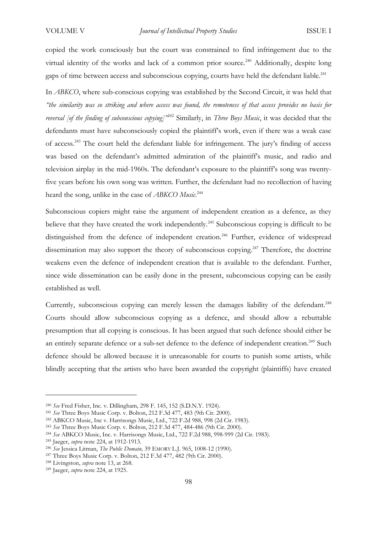copied the work consciously but the court was constrained to find infringement due to the virtual identity of the works and lack of a common prior source.<sup>240</sup> Additionally, despite long gaps of time between access and subconscious copying, courts have held the defendant liable.<sup>241</sup>

In *ABKCO*, where sub-conscious copying was established by the Second Circuit, it was held that *"the similarity was so striking and where access was found, the remoteness of that access provides no basis for reversal [of the finding of subconscious copying]"* <sup>242</sup> Similarly, in *Three Boys Music*, it was decided that the defendants must have subconsciously copied the plaintiff's work, even if there was a weak case of access.<sup>243</sup> The court held the defendant liable for infringement. The jury's finding of access was based on the defendant's admitted admiration of the plaintiff's music, and radio and television airplay in the mid-1960s. The defendant's exposure to the plaintiff's song was twentyfive years before his own song was written. Further, the defendant had no recollection of having heard the song, unlike in the case of *ABKCO Music*. 244

Subconscious copiers might raise the argument of independent creation as a defence, as they believe that they have created the work independently.<sup>245</sup> Subconscious copying is difficult to be distinguished from the defence of independent creation.<sup>246</sup> Further, evidence of widespread dissemination may also support the theory of subconscious copying.<sup>247</sup> Therefore, the doctrine weakens even the defence of independent creation that is available to the defendant. Further, since wide dissemination can be easily done in the present, subconscious copying can be easily established as well.

Currently, subconscious copying can merely lessen the damages liability of the defendant.<sup>248</sup> Courts should allow subconscious copying as a defence, and should allow a rebuttable presumption that all copying is conscious. It has been argued that such defence should either be an entirely separate defence or a sub-set defence to the defence of independent creation.<sup>249</sup> Such defence should be allowed because it is unreasonable for courts to punish some artists, while blindly accepting that the artists who have been awarded the copyright (plaintiffs) have created

<sup>240</sup> *See* Fred Fisher, Inc. v. Dillingham, 298 F. 145, 152 (S.D.N.Y. 1924).

<sup>241</sup> *See* Three Boys Music Corp. v. Bolton, 212 F.3d 477, 483 (9th Cir. 2000).

<sup>242</sup> ABKCO Music, Inc v. Harrisongs Music, Ltd., 722 F.2d 988, 998 (2d Cir. 1983).

<sup>243</sup> *See* Three Boys Music Corp. v. Bolton, 212 F.3d 477, 484-486 (9th Cir. 2000).

<sup>244</sup> *See* ABKCO Music, Inc. v. Harrisongs Music, Ltd., 722 F.2d 988, 998-999 (2d Cir. 1983).

<sup>245</sup> Jaeger, *supra* note 224, at 1912-1913.

<sup>246</sup> *See* Jessica Litman, *The Public Domain,* 39 EMORY L.J. 965, 1008-12 (1990).

<sup>247</sup> Three Boys Music Corp. v. Bolton, 212 F.3d 477, 482 (9th Cir. 2000).

<sup>248</sup> Livingston, *supra* note 13, at 268.

<sup>249</sup> Jaeger, *supra* note 224, at 1925.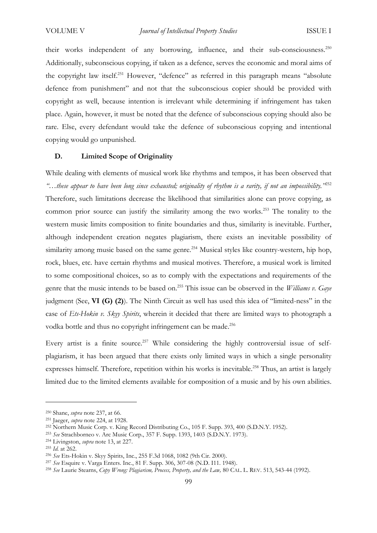their works independent of any borrowing, influence, and their sub-consciousness.<sup>250</sup> Additionally, subconscious copying, if taken as a defence, serves the economic and moral aims of the copyright law itself.<sup>251</sup> However, "defence" as referred in this paragraph means "absolute defence from punishment" and not that the subconscious copier should be provided with copyright as well, because intention is irrelevant while determining if infringement has taken place. Again, however, it must be noted that the defence of subconscious copying should also be rare. Else, every defendant would take the defence of subconscious copying and intentional copying would go unpunished.

# **D. Limited Scope of Originality**

While dealing with elements of musical work like rhythms and tempos, it has been observed that *"…these appear to have been long since exhausted; originality of rhythm is a rarity, if not an impossibility."*<sup>252</sup> Therefore, such limitations decrease the likelihood that similarities alone can prove copying, as common prior source can justify the similarity among the two works.<sup>253</sup> The tonality to the western music limits composition to finite boundaries and thus, similarity is inevitable. Further, although independent creation negates plagiarism, there exists an inevitable possibility of similarity among music based on the same genre.<sup>254</sup> Musical styles like country-western, hip hop, rock, blues, etc. have certain rhythms and musical motives. Therefore, a musical work is limited to some compositional choices, so as to comply with the expectations and requirements of the genre that the music intends to be based on.<sup>255</sup> This issue can be observed in the *Williams v. Gaye* judgment (See, **VI (G) (2)**). The Ninth Circuit as well has used this idea of "limited-ness" in the case of *Ets-Hokin v. Skyy Spirits*, wherein it decided that there are limited ways to photograph a vodka bottle and thus no copyright infringement can be made.<sup>256</sup>

Every artist is a finite source.<sup>257</sup> While considering the highly controversial issue of selfplagiarism, it has been argued that there exists only limited ways in which a single personality expresses himself. Therefore, repetition within his works is inevitable.<sup>258</sup> Thus, an artist is largely limited due to the limited elements available for composition of a music and by his own abilities.

<sup>250</sup> Shane, *supra* note 237, at 66.

<sup>251</sup> Jaeger, *supra* note 224, at 1928.

<sup>252</sup> Northern Music Corp. v. King Record Distributing Co., 105 F. Supp. 393, 400 (S.D.N.Y. 1952).

<sup>253</sup> *See* Strachborneo v. Arc Music Corp., 357 F. Supp. 1393, 1403 (S.D.N.Y. 1973).

<sup>254</sup> Livingston, *supra* note 13, at 227.

<sup>255</sup> *Id.* at 262.

<sup>256</sup> *See* Ets-Hokin v. Skyy Spirits, Inc., 255 F.3d 1068, 1082 (9th Cir. 2000).

<sup>257</sup> *See* Esquire v. Varga Enters. Inc., 81 F. Supp. 306, 307-08 (N.D. I11. 1948).

<sup>258</sup> *See* Laurie Stearns, *Copy Wrong: Plagiarism, Process, Property, and the Law,* 80 CAL. L. REV. 513, 543-44 (1992).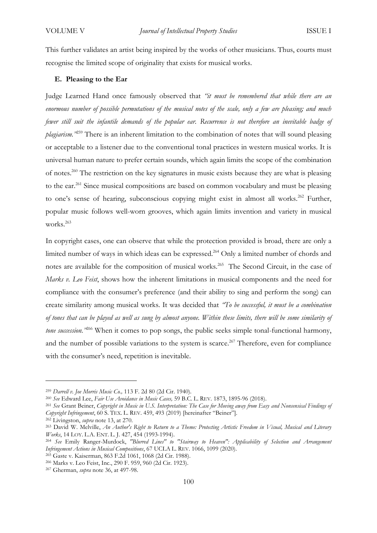This further validates an artist being inspired by the works of other musicians. Thus, courts must recognise the limited scope of originality that exists for musical works.

# **E. Pleasing to the Ear**

Judge Learned Hand once famously observed that *"it must be remembered that while there are an enormous number of possible permutations of the musical notes of the scale, only a few are pleasing; and much fewer still suit the infantile demands of the popular ear. Recurrence is not therefore an inevitable badge of plagiarism."*<sup>259</sup> There is an inherent limitation to the combination of notes that will sound pleasing or acceptable to a listener due to the conventional tonal practices in western musical works. It is universal human nature to prefer certain sounds, which again limits the scope of the combination of notes.<sup>260</sup> The restriction on the key signatures in music exists because they are what is pleasing to the ear.<sup>261</sup> Since musical compositions are based on common vocabulary and must be pleasing to one's sense of hearing, subconscious copying might exist in almost all works.<sup>262</sup> Further, popular music follows well-worn grooves, which again limits invention and variety in musical works.<sup>263</sup>

In copyright cases, one can observe that while the protection provided is broad, there are only a limited number of ways in which ideas can be expressed. <sup>264</sup> Only a limited number of chords and notes are available for the composition of musical works.<sup>265</sup> The Second Circuit, in the case of *Marks v. Leo Feist*, shows how the inherent limitations in musical components and the need for compliance with the consumer's preference (and their ability to sing and perform the song) can create similarity among musical works. It was decided that *"To be successful, it must be a combination of tones that can be played as well as sung by almost anyone. Within these limits, there will be some similarity of tone succession."*<sup>266</sup> When it comes to pop songs, the public seeks simple tonal-functional harmony, and the number of possible variations to the system is scarce.<sup>267</sup> Therefore, even for compliance with the consumer's need, repetition is inevitable.

<sup>259</sup> *Darrell v. Joe Morris Music Co.,* 113 F. 2d 80 (2d Cir. 1940)*.*

<sup>260</sup> *See* Edward Lee, *Fair Use Avoidance in Music Cases,* 59 B.C. L. REV. 1873, 1895-96 (2018).

<sup>261</sup> *See* Grant Beiner, *Copyright in Music in U.S. Interpretation: The Case for Moving away from Easy and Nonsensical Findings of Copyright Infringement*, 60 S. TEX. L. REV. 459, 493 (2019) [hereinafter "Beiner"].

<sup>262</sup> Livingston, *supra* note 13, at 270.

<sup>263</sup> David W. Melville, *An Author's Right to Return to a Theme: Protecting Artistic Freedom in Visual, Musical and Literary Works*, 14 LOY. L.A. ENT. L. J. 427, 454 (1993-1994).

<sup>264</sup> *See* Emily Ranger-Murdock, *"Blurred Lines" to "Stairway to Heaven": Applicability of Selection and Arrangement Infringement Actions in Musical Compositions*, 67 UCLA L. REV. 1066, 1099 (2020).

<sup>265</sup> Gaste v. Kaiserman, 863 F.2d 1061, 1068 (2d Cir. 1988). <sup>266</sup> Marks v. Leo Feist, Inc., 290 F. 959, 960 (2d Cir. 1923).

<sup>267</sup> Gherman, *supra* note 36, at 497-98.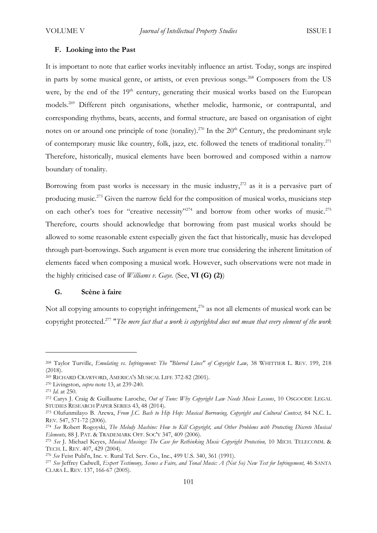#### **F. Looking into the Past**

It is important to note that earlier works inevitably influence an artist. Today, songs are inspired in parts by some musical genre, or artists, or even previous songs.<sup>268</sup> Composers from the US were, by the end of the 19<sup>th</sup> century, generating their musical works based on the European models.<sup>269</sup> Different pitch organisations, whether melodic, harmonic, or contrapuntal, and corresponding rhythms, beats, accents, and formal structure, are based on organisation of eight notes on or around one principle of tone (tonality).<sup>270</sup> In the  $20<sup>th</sup>$  Century, the predominant style of contemporary music like country, folk, jazz, etc. followed the tenets of traditional tonality.<sup>271</sup> Therefore, historically, musical elements have been borrowed and composed within a narrow boundary of tonality.

Borrowing from past works is necessary in the music industry, $272$  as it is a pervasive part of producing music.<sup>273</sup> Given the narrow field for the composition of musical works, musicians step on each other's toes for "creative necessity"<sup>274</sup> and borrow from other works of music.<sup>275</sup> Therefore, courts should acknowledge that borrowing from past musical works should be allowed to some reasonable extent especially given the fact that historically, music has developed through part-borrowings. Such argument is even more true considering the inherent limitation of elements faced when composing a musical work. However, such observations were not made in the highly criticised case of *Williams v. Gaye.* (See, **VI (G) (2)**)

## **G. Scène à faire**

Not all copying amounts to copyright infringement, $^{276}$  as not all elements of musical work can be copyright protected.<sup>277</sup> "*The mere fact that a work is copyrighted does not mean that every element of the work* 

<sup>&</sup>lt;sup>268</sup> Taylor Turville, *Emulating vs. Infringement: The "Blurred Lines" of Copyright Law,* 38 WHITTIER L. REV. 199, 218  $(2018)$ .

<sup>269</sup> RICHARD CRAWFORD, AMERICA'S MUSICAL LIFE 372-82 (2001).

<sup>270</sup> Livingston, *supra* note 13, at 239-240.

<sup>271</sup> *Id.* at 250.

<sup>272</sup> Carys J. Craig & Guillaume Laroche, *Out of Tune: Why Copyright Law Needs Music Lessons*, 10 OSGOODE LEGAL STUDIES RESEARCH PAPER SERIES 43, 48 (2014).

<sup>273</sup> Olufunmilayo B. Arewa, *From J.C. Bach to Hip Hop: Musical Borrowing, Copyright and Cultural Context,* 84 N.C. L. REV. 547, 571-72 (2006).

<sup>274</sup> *See* Robert Rogoyski, *The Melody Machine: How to Kill Copyright, and Other Problems with Protecting Discrete Musical Elements,* 88 J. PAT. & TRADEMARK OFF. SOC'Y 347, 409 (2006).

<sup>275</sup> *See* J. Michael Keyes, *Musical Musings: The Case for Rethinking Music Copyright Protection,* 10 MICH. TELECOMM. & TECH. L. REV. 407, 429 (2004).

<sup>276</sup> *See* Feist Publ'n, Inc. v. Rural Tel. Serv. Co., Inc., 499 U.S. 340, 361 (1991).

<sup>277</sup> *See* Jeffrey Cadwell, *Expert Testimony, Scenes a Faire, and Tonal Music: A (Not So) New Test for Infringement,* 46 SANTA CLARA L. REV. 137, 166-67 (2005).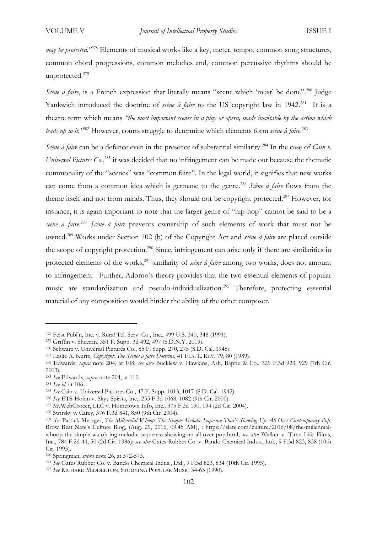*may be protected.*<sup>"278</sup> Elements of musical works like a key, meter, tempo, common song structures, common chord progressions, common melodies and, common percussive rhythms should be unprotected.<sup>279</sup>

*Scène à faire*, is a French expression that literally means "scene which 'must' be done".<sup>280</sup> Judge Yankwich introduced the doctrine of *scène à faire* to the US copyright law in 1942.<sup>281</sup> It is a theatre term which means *"the most important scenes in a play or opera, made inevitable by the action which leads up to it."*<sup>282</sup> However, courts struggle to determine which elements form *scène à faire*. 283

*Scène à faire* can be a defence even in the presence of substantial similarity.<sup>284</sup> In the case of *Cain v*. Universal Pictures Co.,<sup>285</sup> it was decided that no infringement can be made out because the thematic commonality of the "scenes" was "common faire". In the legal world, it signifies that new works can come from a common idea which is germane to the genre.<sup>286</sup> *Scène à faire* flows from the theme itself and not from minds. Thus, they should not be copyright protected.<sup>287</sup> However, for instance, it is again important to note that the larger genre of "hip-hop" cannot be said to be a *scène à faire*. <sup>288</sup> *Scène à faire* prevents ownership of such elements of work that must not be owned.<sup>289</sup> Works under Section 102 (b) of the Copyright Act and *scène à faire* are placed outside the scope of copyright protection.<sup>290</sup> Since, infringement can arise only if there are similarities in protected elements of the works,<sup>291</sup> similarity of *scène à faire* among two works, does not amount to infringement. Further, Adorno's theory provides that the two essential elements of popular music are standardization and pseudo-individualization.<sup>292</sup> Therefore, protecting essential material of any composition would hinder the ability of the other composer.

<sup>278</sup> Feist Publ'n, Inc. v. Rural Tel. Serv. Co., Inc., 499 U.S. 340, 348 (1991).

<sup>279</sup> Griffin v. Sheeran*,* 351 F. Supp. 3d 492, 497 (S.D.N.Y. 2019).

<sup>280</sup> Schwarz v. Universal Pictures Co., 85 F. Supp. 270, 275 (S.D. Cal. 1945).

<sup>281</sup> Leslie A. Kurtz, *Copyright: The Scenes a faire Doctrine,* 41 FLA. L. REV. 79, 80 (1989).

<sup>282</sup> Edwards, *supra* note 204, at 108; *see also* Bucklew v. Hawkins, Ash, Baptie & Co., 329 F.3d 923, 929 (7th Cir. 2003).

<sup>283</sup> *See* Edwards, *supra* note 204, at 110.

<sup>284</sup> *See id.* at 106.

<sup>285</sup> *See* Cain v. Universal Pictures Co., 47 F. Supp. 1013, 1017 (S.D. Cal. 1942).

<sup>286</sup> *See* ETS-Hokin v. Skyy Spirits, Inc., 255 F.3d 1068, 1082 (9th Cir. 2000).

<sup>287</sup> MyWebGrocer, LLC v. Hometown Info, Inc., 375 F.3d 190, 194 (2d Cir. 2004).

<sup>288</sup> Swirsky v. Carey, 376 F.3d 841, 850 (9th Cir. 2004).

<sup>289</sup> *See* Patrick Metzger, *The Millennial Whoop: The Simple Melodic Sequence That's Showing Up All Over Contemporary Pop*, Brow Beat Slate's Culture Blog, (Aug. 29, 2016, 09:45 AM), : https://slate.com/culture/2016/08/the-millennialwhoop-the-simple-wa-oh-ing-melodic-sequence-showing-up-all-over-pop.html; *see also* Walker v. Time Life Films, Inc., 784 F.2d 44, 50 (2d Cir. 1986); *see also* Gates Rubber Co. v. Bando Chemical Indus., Ltd., 9 F.3d 823, 838 (10th Cir. 1993).

<sup>290</sup> Springman, *supra* note 26, at 572-573.

<sup>291</sup> *See* Gates Rubber Co. v. Bando Chemical Indus., Ltd., 9 F.3d 823, 834 (10th Cir. 1993).

<sup>292</sup> *See* RICHARD MIDDLETON, STUDYING POPULAR MUSIC 34-63 (1990).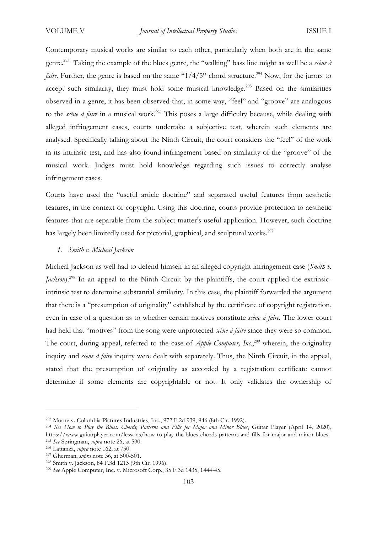Contemporary musical works are similar to each other, particularly when both are in the same genre.<sup>293</sup> Taking the example of the blues genre, the "walking" bass line might as well be a *scène à faire.* Further, the genre is based on the same " $1/4/5$ " chord structure.<sup>294</sup> Now, for the jurors to accept such similarity, they must hold some musical knowledge.<sup>295</sup> Based on the similarities observed in a genre, it has been observed that, in some way, "feel" and "groove" are analogous to the *scène à faire* in a musical work.<sup>296</sup> This poses a large difficulty because, while dealing with alleged infringement cases, courts undertake a subjective test, wherein such elements are analysed. Specifically talking about the Ninth Circuit, the court considers the "feel" of the work in its intrinsic test, and has also found infringement based on similarity of the "groove" of the musical work. Judges must hold knowledge regarding such issues to correctly analyse infringement cases.

Courts have used the "useful article doctrine" and separated useful features from aesthetic features, in the context of copyright. Using this doctrine, courts provide protection to aesthetic features that are separable from the subject matter's useful application. However, such doctrine has largely been limitedly used for pictorial, graphical, and sculptural works.<sup>297</sup>

## *1. Smith v. Micheal Jackson*

Micheal Jackson as well had to defend himself in an alleged copyright infringement case (*Smith v. Jackson*).<sup>298</sup> In an appeal to the Ninth Circuit by the plaintiffs, the court applied the extrinsicintrinsic test to determine substantial similarity. In this case, the plaintiff forwarded the argument that there is a "presumption of originality" established by the certificate of copyright registration, even in case of a question as to whether certain motives constitute *scène à faire.* The lower court had held that "motives" from the song were unprotected *scène à faire* since they were so common. The court, during appeal, referred to the case of *Apple Computer*, *Inc.*,<sup>299</sup> wherein, the originality inquiry and *scène à faire* inquiry were dealt with separately. Thus, the Ninth Circuit, in the appeal, stated that the presumption of originality as accorded by a registration certificate cannot determine if some elements are copyrightable or not. It only validates the ownership of

<sup>293</sup> Moore v. Columbia Pictures Industries, Inc., 972 F.2d 939, 946 (8th Cir. 1992).

<sup>294</sup> *See How to Play the Blues: Chords, Patterns and Fills for Major and Minor Blues*, Guitar Player (April 14, 2020), https://www.guitarplayer.com/lessons/how-to-play-the-blues-chords-patterns-and-fills-for-major-and-minor-blues. <sup>295</sup> *See* Springman, *supra* note 26, at 590.

<sup>296</sup> Lattanza, *supra* note 162, at 750.

<sup>297</sup> Gherman, *supra* note 36, at 500-501.

<sup>298</sup> Smith v. Jackson, 84 F.3d 1213 (9th Cir. 1996).

<sup>299</sup> *See* Apple Computer, Inc. v. Microsoft Corp., 35 F.3d 1435, 1444-45.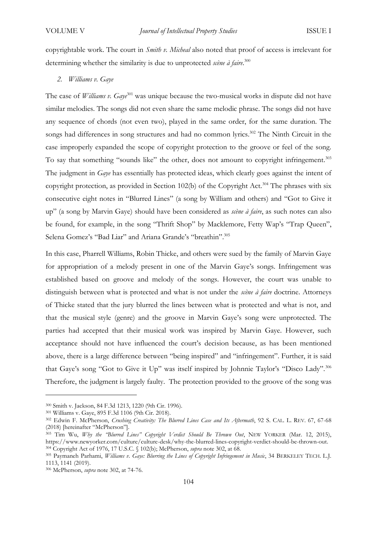copyrightable work. The court in *Smith v. Micheal* also noted that proof of access is irrelevant for determining whether the similarity is due to unprotected *scène à faire*. 300

*2. Williams v. Gaye* 

The case of *Williams v. Gaye*<sup>301</sup> was unique because the two-musical works in dispute did not have similar melodies. The songs did not even share the same melodic phrase. The songs did not have any sequence of chords (not even two), played in the same order, for the same duration. The songs had differences in song structures and had no common lyrics.<sup>302</sup> The Ninth Circuit in the case improperly expanded the scope of copyright protection to the groove or feel of the song. To say that something "sounds like" the other, does not amount to copyright infringement.<sup>303</sup> The judgment in *Gaye* has essentially has protected ideas, which clearly goes against the intent of copyright protection, as provided in Section 102(b) of the Copyright Act.<sup>304</sup> The phrases with six consecutive eight notes in "Blurred Lines" (a song by William and others) and "Got to Give it up" (a song by Marvin Gaye) should have been considered as *scène à faire*, as such notes can also be found, for example, in the song "Thrift Shop" by Macklemore, Fetty Wap's "Trap Queen", Selena Gomez's "Bad Liar" and Ariana Grande's "breathin".<sup>305</sup>

In this case, Pharrell Williams, Robin Thicke, and others were sued by the family of Marvin Gaye for appropriation of a melody present in one of the Marvin Gaye's songs. Infringement was established based on groove and melody of the songs. However, the court was unable to distinguish between what is protected and what is not under the *scène à faire* doctrine. Attorneys of Thicke stated that the jury blurred the lines between what is protected and what is not, and that the musical style (genre) and the groove in Marvin Gaye's song were unprotected. The parties had accepted that their musical work was inspired by Marvin Gaye. However, such acceptance should not have influenced the court's decision because, as has been mentioned above, there is a large difference between "being inspired" and "infringement". Further, it is said that Gaye's song "Got to Give it Up" was itself inspired by Johnnie Taylor's "Disco Lady".<sup>306</sup> Therefore, the judgment is largely faulty. The protection provided to the groove of the song was

<sup>300</sup> Smith v. Jackson, 84 F.3d 1213, 1220 (9th Cir. 1996).

<sup>301</sup> Williams v. Gaye, 895 F.3d 1106 (9th Cir. 2018).

<sup>302</sup> Edwin F. McPherson, *Crushing Creativity: The Blurred Lines Case and Its Aftermath*, 92 S. CAL. L. REV. 67, 67-68 (2018) [hereinafter "McPherson"].

<sup>303</sup> Tim Wu, *Why the "Blurred Lines" Copyright Verdict Should Be Thrown Out*, NEW YORKER (Mar. 12, 2015), https://www.newyorker.com/culture/culture-desk/why-the-blurred-lines-copyright-verdict-should-be-thrown-out. <sup>304</sup> Copyright Act of 1976, 17 U.S.C. § 102(b); McPherson, *supra* note 302, at 68.

<sup>305</sup> Paymaneh Parhami, *Williams v. Gaye: Blurring the Lines of Copyright Infringement in Music*, 34 BERKELEY TECH. L.J. 1113, 1141 (2019).

<sup>306</sup> McPherson, *supra* note 302, at 74-76.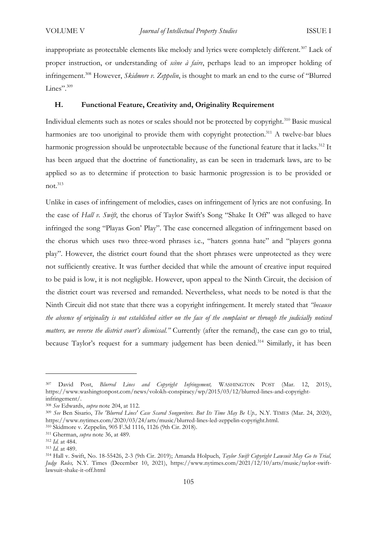inappropriate as protectable elements like melody and lyrics were completely different.<sup>307</sup> Lack of proper instruction, or understanding of *scène à faire*, perhaps lead to an improper holding of infringement.<sup>308</sup> However, *Skidmore v. Zeppelin*, is thought to mark an end to the curse of "Blurred Lines".<sup>309</sup>

# **H. Functional Feature, Creativity and, Originality Requirement**

Individual elements such as notes or scales should not be protected by copyright.<sup>310</sup> Basic musical harmonies are too unoriginal to provide them with copyright protection.<sup>311</sup> A twelve-bar blues harmonic progression should be unprotectable because of the functional feature that it lacks. <sup>312</sup> It has been argued that the doctrine of functionality, as can be seen in trademark laws, are to be applied so as to determine if protection to basic harmonic progression is to be provided or not.<sup>313</sup>

Unlike in cases of infringement of melodies, cases on infringement of lyrics are not confusing. In the case of *Hall v. Swift*, the chorus of Taylor Swift's Song "Shake It Off" was alleged to have infringed the song "Playas Gon' Play". The case concerned allegation of infringement based on the chorus which uses two three-word phrases i.e., "haters gonna hate" and "players gonna play". However, the district court found that the short phrases were unprotected as they were not sufficiently creative. It was further decided that while the amount of creative input required to be paid is low, it is not negligible. However, upon appeal to the Ninth Circuit, the decision of the district court was reversed and remanded. Nevertheless, what needs to be noted is that the Ninth Circuit did not state that there was a copyright infringement. It merely stated that *"because the absence of originality is not established either on the face of the complaint or through the judicially noticed matters, we reverse the district court's dismissal."* Currently (after the remand), the case can go to trial, because Taylor's request for a summary judgement has been denied.<sup>314</sup> Similarly, it has been

<sup>307</sup> David Post, *Blurred Lines and Copyright Infringement,* WASHINGTON POST (Mar. 12, 2015), https://www.washingtonpost.com/news/volokh-conspiracy/wp/2015/03/12/blurred-lines-and-copyrightinfringement/.

<sup>308</sup> *See* Edwards, *supra* note 204, at 112.

<sup>309</sup> *See* Ben Sisario, *The 'Blurred Lines' Case Scared Songwriters. But Its Time May Be Up.,* N.Y. TIMES (Mar. 24, 2020), https://www.nytimes.com/2020/03/24/arts/music/blurred-lines-led-zeppelin-copyright.html.

<sup>310</sup> Skidmore v. Zeppelin, 905 F.3d 1116, 1126 (9th Cir. 2018).

<sup>311</sup> Gherman, *supra* note 36, at 489.

<sup>312</sup> *Id.* at 484.

<sup>313</sup> *Id.* at 489.

<sup>314</sup> Hall v. Swift, No. 18-55426, 2-3 (9th Cir. 2019); Amanda Holpuch, *Taylor Swift Copyright Lawsuit May Go to Trial, Judge Rules,* N.Y. Times (December 10, 2021), https://www.nytimes.com/2021/12/10/arts/music/taylor-swiftlawsuit-shake-it-off.html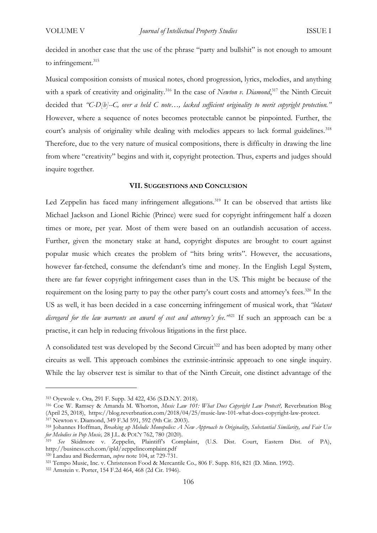decided in another case that the use of the phrase "party and bullshit" is not enough to amount to infringement.<sup>315</sup>

Musical composition consists of musical notes, chord progression, lyrics, melodies, and anything with a spark of creativity and originality.<sup>316</sup> In the case of *Newton v. Diamond*,<sup>317</sup> the Ninth Circuit decided that *"C-D[b]--C, over a held C note…, lacked sufficient originality to merit copyright protection."*  However, where a sequence of notes becomes protectable cannot be pinpointed. Further, the court's analysis of originality while dealing with melodies appears to lack formal guidelines.<sup>318</sup> Therefore, due to the very nature of musical compositions, there is difficulty in drawing the line from where "creativity" begins and with it, copyright protection. Thus, experts and judges should inquire together.

# **VII. SUGGESTIONS AND CONCLUSION**

Led Zeppelin has faced many infringement allegations.<sup>319</sup> It can be observed that artists like Michael Jackson and Lionel Richie (Prince) were sued for copyright infringement half a dozen times or more, per year. Most of them were based on an outlandish accusation of access. Further, given the monetary stake at hand, copyright disputes are brought to court against popular music which creates the problem of "hits bring writs". However, the accusations, however far-fetched, consume the defendant's time and money. In the English Legal System, there are far fewer copyright infringement cases than in the US. This might be because of the requirement on the losing party to pay the other party's court costs and attorney's fees.<sup>320</sup> In the US as well, it has been decided in a case concerning infringement of musical work, that *"blatant disregard for the law warrants an award of cost and attorney's fee.*<sup>321</sup> If such an approach can be a practise, it can help in reducing frivolous litigations in the first place.

A consolidated test was developed by the Second Circuit<sup>322</sup> and has been adopted by many other circuits as well. This approach combines the extrinsic-intrinsic approach to one single inquiry. While the lay observer test is similar to that of the Ninth Circuit, one distinct advantage of the

<sup>315</sup> Oyewole v. Ora*,* 291 F. Supp. 3d 422, 436 (S.D.N.Y. 2018).

<sup>316</sup> Coe W. Ramsey & Amanda M. Whorton, *Music Law 101: What Does Copyright Law Protect?,* Reverbnation Blog (April 25, 2018), https://blog.reverbnation.com/2018/04/25/music-law-101-what-does-copyright-law-protect. <sup>317</sup> Newton v. Diamond, 349 F.3d 591, 592 (9th Cir. 2003).

<sup>318</sup> Johannes Hoffman, *Breaking up Melodic Monopolies: A New Approach to Originality, Substantial Similarity, and Fair Use for Melodies in Pop Music,* 28 J.L. & POL'Y 762, 780 (2020).

<sup>319</sup> *See* Skidmore v. Zeppelin, Plaintiff's Complaint, (U.S. Dist. Court, Eastern Dist. of PA), http://business.cch.com/ipld/zeppelincomplaint.pdf

<sup>320</sup> Landau and Biederman, *supra* note 104, at 729-731.

<sup>321</sup> Tempo Music, Inc. v. Christenson Food & Mercantile Co*.,* 806 F. Supp. 816, 821 (D. Minn. 1992).

<sup>322</sup> Arnstein v. Porter, 154 F.2d 464, 468 (2d Cir. 1946).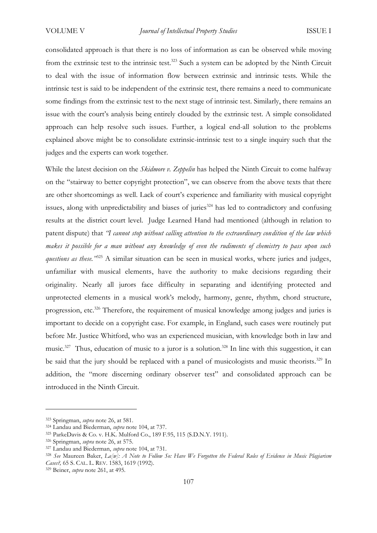consolidated approach is that there is no loss of information as can be observed while moving from the extrinsic test to the intrinsic test.<sup>323</sup> Such a system can be adopted by the Ninth Circuit to deal with the issue of information flow between extrinsic and intrinsic tests. While the intrinsic test is said to be independent of the extrinsic test, there remains a need to communicate some findings from the extrinsic test to the next stage of intrinsic test. Similarly, there remains an issue with the court's analysis being entirely clouded by the extrinsic test. A simple consolidated approach can help resolve such issues. Further, a logical end-all solution to the problems explained above might be to consolidate extrinsic-intrinsic test to a single inquiry such that the judges and the experts can work together.

While the latest decision on the *Skidmore v. Zeppelin* has helped the Ninth Circuit to come halfway on the "stairway to better copyright protection", we can observe from the above texts that there are other shortcomings as well. Lack of court's experience and familiarity with musical copyright issues, along with unpredictability and biases of juries<sup>324</sup> has led to contradictory and confusing results at the district court level. Judge Learned Hand had mentioned (although in relation to patent dispute) that *"I cannot stop without calling attention to the extraordinary condition of the law which makes it possible for a man without any knowledge of even the rudiments of chemistry to pass upon such questions as these."*<sup>325</sup> A similar situation can be seen in musical works, where juries and judges, unfamiliar with musical elements, have the authority to make decisions regarding their originality. Nearly all jurors face difficulty in separating and identifying protected and unprotected elements in a musical work's melody, harmony, genre, rhythm, chord structure, progression, etc.<sup>326</sup> Therefore, the requirement of musical knowledge among judges and juries is important to decide on a copyright case. For example, in England, such cases were routinely put before Mr. Justice Whitford, who was an experienced musician, with knowledge both in law and music.<sup>327</sup> Thus, education of music to a juror is a solution.<sup>328</sup> In line with this suggestion, it can be said that the jury should be replaced with a panel of musicologists and music theorists.<sup>329</sup> In addition, the "more discerning ordinary observer test" and consolidated approach can be introduced in the Ninth Circuit.

<sup>323</sup> Springman, *supra* note 26, at 581.

<sup>324</sup> Landau and Biederman, *supra* note 104, at 737.

<sup>325</sup> ParkeDavis & Co. v. H.K. Mulford Co., 189 F.95, 115 (S.D.N.Y. 1911).

<sup>326</sup> Springman, *supra* note 26, at 575.

<sup>327</sup> Landau and Biederman, *supra* note 104, at 731.

<sup>328</sup> *See* Maureen Baker, *La[w]: A Note to Follow So: Have We Forgotten the Federal Rules of Evidence in Music Plagiarism Cases?,* 65 S. CAL. L. REV. 1583, 1619 (1992).

<sup>329</sup> Beiner, *supra* note 261, at 495.